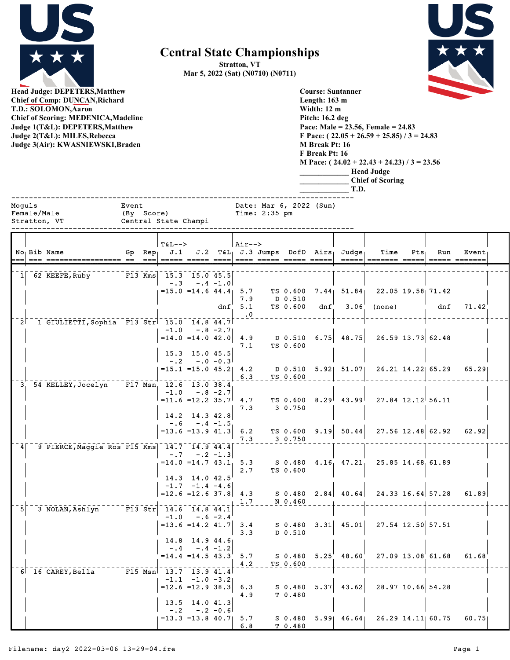

**Central State Championships**

**Stratton, VT Mar 5, 2022 (Sat) (N0710) (N0711)**

> **Course: Suntanner Length: 163 m Width: 12 m**



**Head Judge: DEPETERS,Matthew Chief of Comp: DUNCAN,Richard T.D.: SOLOMON,Aaron Chief of Scoring: MEDENICA,Madeline Judge 1(To Judge 2(T Judge 3(Air)** 

|                       | <b>Chief of Scoring: MEDENICA, Madeline</b><br>Judge 1(T&L): DEPETERS, Matthew<br>Judge 2(T&L): MILES, Rebecca<br>Judge 3(Air): KWASNIEWSKI, Braden |                     |                          |                                          |                                                  |             |                         |               |                     | Pitch: 16.2 deg<br>M Break Pt: 16<br>F Break Pt: 16 | T.D.                                | Pace: Male = $23.56$ , Female = $24.83$<br>F Pace: $(22.05 + 26.59 + 25.85) / 3 = 24.83$<br>M Pace: $(24.02 + 22.43 + 24.23)$ / 3 = 23.56<br><b>Head Judge</b><br><b>Chief of Scoring</b>                                                                                                                                                                                                                                                                                                                                                                            |         |                     |                        |  |
|-----------------------|-----------------------------------------------------------------------------------------------------------------------------------------------------|---------------------|--------------------------|------------------------------------------|--------------------------------------------------|-------------|-------------------------|---------------|---------------------|-----------------------------------------------------|-------------------------------------|----------------------------------------------------------------------------------------------------------------------------------------------------------------------------------------------------------------------------------------------------------------------------------------------------------------------------------------------------------------------------------------------------------------------------------------------------------------------------------------------------------------------------------------------------------------------|---------|---------------------|------------------------|--|
| Moquls<br>Female/Male | Stratton, VT                                                                                                                                        | Event<br>(By Score) |                          | Central State Champi                     |                                                  |             |                         | Time: 2:35 pm |                     | Date: Mar 6, 2022 (Sun)                             |                                     |                                                                                                                                                                                                                                                                                                                                                                                                                                                                                                                                                                      |         |                     |                        |  |
|                       | No Bib Name<br>=== ================== ==                                                                                                            | Gp                  | Rep<br>$=$ $=$ $=$ $\pm$ | $T\delta L--$<br>J.1<br>===== ===== ==== |                                                  |             | $Air--$                 |               |                     | $J.2$ T&L $J.3$ Jumps DofD Airs                     | $Ju$ dge<br>$=$ $=$ $=$ $=$ $\vert$ | Time<br>$\begin{array}{cccccc} \multicolumn{2}{l}{{\color{red}\boldsymbol{=}}} & \multicolumn{2}{l}{\color{blue}\boldsymbol{=}} & \multicolumn{2}{l}{\color{blue}\boldsymbol{=}} & \multicolumn{2}{l}{\color{blue}\boldsymbol{=}} & \multicolumn{2}{l}{\color{blue}\boldsymbol{=}} & \multicolumn{2}{l}{\color{blue}\boldsymbol{=}} & \multicolumn{2}{l}{\color{blue}\boldsymbol{=}} & \multicolumn{2}{l}{\color{blue}\boldsymbol{=}} & \multicolumn{2}{l}{\color{blue}\boldsymbol{=}} & \multicolumn{2}{l}{\color{blue}\boldsymbol{=}} & \multicolumn{2}{l}{\color$ | $Pts_1$ | Run                 | Event<br>===== ======= |  |
|                       | $1$ 62 KEEFE, Ruby                                                                                                                                  |                     |                          | $F13$ Kms $15.3$ $15.0$ $45.5$<br>$-.3$  | $= 15.0$ $= 14.6$ $44.4$ 5.7                     | $-.4 -1.0$  |                         |               | TS 0.600            | 7.44 <sub>1</sub>                                   | 51.84                               |                                                                                                                                                                                                                                                                                                                                                                                                                                                                                                                                                                      |         | $22.05$ 19.58 71.42 |                        |  |
|                       |                                                                                                                                                     |                     |                          |                                          |                                                  | dnf         | 7.9<br>5.1<br>$\cdot$ 0 |               | D 0.510<br>TS 0.600 | dnf                                                 | 3.06                                | (none)                                                                                                                                                                                                                                                                                                                                                                                                                                                                                                                                                               |         | dnf                 | 71.42                  |  |
| 2 <sup>1</sup>        | 1 GIULIETTI, Sophia F13 Str 15.0 14.8 44.7                                                                                                          |                     |                          | $-1.0$                                   | $=14.0$ $=14.0$ $42.0$                           | $-.8 - 2.7$ | 4.9<br>7.1              |               | D 0.510<br>TS 0.600 | 6.75                                                | 48.75                               | $26.59$ 13.73 62.48                                                                                                                                                                                                                                                                                                                                                                                                                                                                                                                                                  |         |                     |                        |  |
|                       |                                                                                                                                                     |                     |                          | $-0.2$                                   | 15.3 15.0 45.5<br>$= 15.1$ $= 15.0$ $45.2$ $4.2$ | $-.0 - 0.3$ | 6.3                     |               | TS 0.600            | $D$ 0.510 5.92                                      | 51.07                               |                                                                                                                                                                                                                                                                                                                                                                                                                                                                                                                                                                      |         | 26.21 14.22 65.29   | 65.29                  |  |
|                       | 3 54 KELLEY, Jocelyn                                                                                                                                |                     |                          | F17 Msn 12.6 13.0 38.4<br>$-1.0$         | $= 11.6 = 12.2 35.7$                             | $-.8 - 2.7$ | 4.7<br>7.3              |               | TS 0.600<br>3 0.750 | 8.29                                                | ا99.43                              |                                                                                                                                                                                                                                                                                                                                                                                                                                                                                                                                                                      |         | $27.84$ 12.12 56.11 |                        |  |
|                       |                                                                                                                                                     |                     |                          | $-0.6$                                   | 14.2 14.3 42.8<br>$= 13.6 = 13.9 41.3$           | $-.4 -1.5$  | 6.2<br>7.3              |               | TS 0.600<br>3 0.750 | 9.19                                                | 50.44                               |                                                                                                                                                                                                                                                                                                                                                                                                                                                                                                                                                                      |         | $27.56$ 12.48 62.92 | 62.92                  |  |
| $\frac{4}{ }$         | 9 PIERCE, Maggie Ros F15 Kms   14.7 14.9 44.4                                                                                                       |                     |                          | $-0.7$                                   | $= 14.0 = 14.743.1$                              | $-.2 - 1.3$ | 5.3<br>2.7              |               | TS 0.600            |                                                     | $S$ 0.480 4.16 47.21                |                                                                                                                                                                                                                                                                                                                                                                                                                                                                                                                                                                      |         | $25.85$ 14.68 61.89 |                        |  |
|                       |                                                                                                                                                     |                     |                          | $= 12.6 = 12.6 37.8$ 4.3                 | 14.3 14.0 42.5<br>$-1.7 -1.4 -4.6$               |             | 1.7                     |               | N 0.460             |                                                     | $S$ 0.480 2.84 40.64                |                                                                                                                                                                                                                                                                                                                                                                                                                                                                                                                                                                      |         | 24.33 16.64 57.28   | 61.89                  |  |
| -5                    | 3 NOLAN, Ashlyn F13 Str 14.6 14.8 44.1                                                                                                              |                     |                          |                                          | $-1.0 - .6 - 2.4$<br>$=13.6$ =14.2 41.7          |             | 3.4<br>3.3              |               | D 0.510             |                                                     |                                     | $S$ 0.480 3.31 45.01 27.54 12.50 57.51                                                                                                                                                                                                                                                                                                                                                                                                                                                                                                                               |         |                     |                        |  |
|                       |                                                                                                                                                     |                     |                          | $= 14.4$ $= 14.5$ 43.3                   | $14.8$ 14.9 44.6<br>$-.4-.4-.1.2$                |             | 5.7<br>4.2              |               | TS 0.600            |                                                     | $S$ 0.480 5.25 48.60                |                                                                                                                                                                                                                                                                                                                                                                                                                                                                                                                                                                      |         | 27.09 13.08 61.68   | 61.68                  |  |
|                       | 6 16 CAREY, Bella F15 Msn 13.7 13.9 41.4                                                                                                            |                     |                          | $=12.6$ = 12.9 38.3                      | $-1.1 -1.0 -3.2$                                 |             | 6.3<br>4.9              |               | S 0.480<br>T 0.480  |                                                     | $5.37$ 43.62                        | 28.97 10.66 54.28                                                                                                                                                                                                                                                                                                                                                                                                                                                                                                                                                    |         |                     |                        |  |
|                       |                                                                                                                                                     |                     |                          | $= 13.3 = 13.8 40.7$                     | 13.5 14.0 41.3<br>$-.2$ $-.2$ $-0.6$             |             | 5.7<br>6.8              |               | T 0.480             |                                                     |                                     | $S$ 0.480 5.99 46.64 26.29 14.11 60.75                                                                                                                                                                                                                                                                                                                                                                                                                                                                                                                               |         |                     | 60.75                  |  |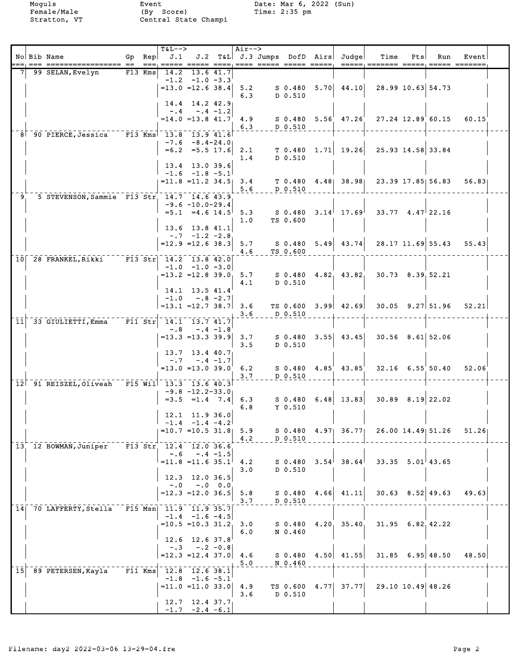Moguls Event Date: Mar 6, 2022 (Sun)<br>Female/Male (By Score) Time: 2:35 pm<br>Stratton, VT Central State Champi Female/Male (By Score) Time: 2:35 pm Stratton, VT Central State Champi

|                 | No Bib Name                                    |           | Gp Rep    | <b>T&amp;L--&gt;</b><br>J.1                                                  |                                                                    |             | Air-->     |                            | J.2 T&L J.3 Jumps DofD Airs Judge | Time                                                     | Pts | Run                  | Event |  |
|-----------------|------------------------------------------------|-----------|-----------|------------------------------------------------------------------------------|--------------------------------------------------------------------|-------------|------------|----------------------------|-----------------------------------|----------------------------------------------------------|-----|----------------------|-------|--|
|                 | 99 SELAN, Evelyn                               |           | $F13$ Kms | $=13.0$ $=12.6$ 38.4                                                         | 14.2 13.6 41.7<br>$-1.2 -1.0 -3.3$                                 |             | 5.2<br>6.3 | S 0.480<br>D 0.510         | $5.70 \mid 44.10 \mid$            | 28.99 10.63 54.73                                        |     |                      |       |  |
|                 |                                                |           |           | $=14.0$ $=13.8$ $41.7$                                                       | $14.4$ 14.2 42.9<br>$-.4-.4-.1.2$                                  |             | 4.9<br>6.3 | D 0.510                    | $S$ 0.480 5.56 47.26              | 27.24 12.89 60.15                                        |     |                      | 60.15 |  |
|                 | 8 90 PIERCE, Jessica F13 Kms 13.8 13.9 41.6    |           |           |                                                                              | $-7.6 - 8.4 - 24.0$<br>$=6.2$ $=5.5$ 17.6 2.1<br>13.4 13.0 39.6    |             | 1.4        | D 0.510                    | $T$ 0.480 1.71 19.26              | 25.93 14.58 33.84                                        |     |                      |       |  |
|                 |                                                |           |           | $= 11.8$ $= 11.2$ 34.5 3.4                                                   | $-1.6$ $-1.8$ $-5.1$                                               |             | 5.6        | D 0.510                    |                                   | $T$ 0.480 4.48 38.98 23.39 17.85 56.83                   |     |                      | 56.83 |  |
| -9.             | 5 STEVENSON, Sammie F13 Str 14.7 14.6 43.9     |           |           |                                                                              | $-9.6 - 10.0 - 29.4$<br>$=5.1$ $=4.6$ $14.5$<br>$13.6$ 13.8 41.1   |             | 5.3<br>1.0 | S 0.480<br>TS 0.600        | $3.14^{+}$ 17.69                  | $33.77$ 4.47 22.16                                       |     |                      |       |  |
|                 |                                                |           |           | $=12.9$ $=12.6$ 38.3 5.7                                                     | $-.7 - 1.2 - 2.8$                                                  |             | 4.6        | TS 0.600                   | $S$ 0.480 5.49 43.74              |                                                          |     | $28.17$ 11.69 55.43  | 55.43 |  |
|                 | 10 28 FRANKEL, Rikki F13 Str 14.2 13.8 42.0    |           |           | $=13.2$ $=12.8$ 39.0 5.7                                                     | $-1.0$ $-1.0$ $-3.0$                                               |             | 4.1        | D 0.510                    |                                   | $S$ 0.480 4.82 43.82 30.73 8.39 52.21                    |     |                      |       |  |
|                 |                                                |           |           | $=13.1$ $=12.7$ 38.7                                                         | 14.1 13.5 41.4<br>$-1.0 - .8 - 2.7$                                |             | 3.6<br>3.6 | D 0.510                    |                                   | TS $0.600$ $3.99$ $42.69$ $30.05$ $9.27$ $51.96$ $52.21$ |     |                      |       |  |
| 11              | 33 GIULIETTI, Emma                             |           |           | $\overline{F11} \overline{Str}$ 14.1 13.7 41.7<br>$= 13.3$ $= 13.3$ 39.9 3.7 | $-.8 - .4 - 1.8$                                                   |             | 3.5        | S 0.480<br>D 0.510         | $3.55$ 43.45                      | $30.56$ $8.61$ 52.06                                     |     |                      |       |  |
|                 | 12 91 REISZEL, Oliveah F15 Will 13.3 13.6 40.3 |           |           | $=13.0$ $=13.0$ 39.0                                                         | 13.7 13.4 40.7<br>$-.7 - .4 - 1.7$                                 |             | 6.2<br>3.7 | D 0.510                    | $S$ 0.480 4.85 43.85              |                                                          |     | $32.16$ 6.55 50.40   | 52.06 |  |
|                 |                                                |           |           |                                                                              | $-9.8$ $-12.2 - 33.0$<br>$=3.5$ $=1.4$ 7.4 6.3<br>$12.1$ 11.9 36.0 |             | 6.8        | S 0.480<br>$Y$ 0.510       | $6.48$ 13.83                      | $30.89$ $8.19$ 22.02                                     |     |                      |       |  |
|                 |                                                |           |           | $=10.7$ $=10.5$ 31.8 5.9                                                     | $-1.4$ $-1.4$ $-4.2$                                               |             | 4.2        | D 0.510                    |                                   | S 0.480 4.97 36.77 26.00 14.49 51.26                     |     |                      | 51.26 |  |
|                 | 13 12 BOWMAN, Juniper                          |           |           | $F13 \text{ Str}$ $12.4 \text{ } 12.0 \text{ } 36.6$<br>$=11.8$ = 11.6 35.1  | $-.6 - .4 -1.5$<br>12.3 12.0 36.5                                  |             | 4.2<br>3.0 | D 0.510                    | $S$ 0.480 3.54 38.64              | $33.35$ $5.01$ 43.65                                     |     |                      |       |  |
|                 |                                                |           |           | $-0.0$<br>$=12.3$ = 12.0 36.5                                                |                                                                    | $-.0 \t0.0$ | 5.8<br>3.7 | S 0.480<br>D 0.510         | $4.66$ $41.11$                    |                                                          |     | $30.63$ $8.52$ 49.63 | 49.63 |  |
|                 | 14 70 LAFFERTY, Stella                         |           |           | F15 Msn 11.9 11.9 35.7<br>$=10.5 = 10.3$ 31.2                                | $-1.4$ $-1.6$ $-4.5$<br>12.6 12.6 37.8                             |             | 3.0<br>6.0 | S 0.480<br>N 0.460         | $4.20 \quad 35.40$                |                                                          |     | $31.95$ 6.82.42.22   |       |  |
|                 |                                                |           |           | $-.3$<br>$= 12.3$ = 12.4 37.0 4.6                                            | $-.2 - 0.8$                                                        |             | 5.0        | N 0.460                    | $S$ 0.480 4.50 41.55              |                                                          |     | $31.85$ 6.95 48.50   | 48.50 |  |
| 15 <sub>l</sub> | 89 PETERSEN, Kayla                             | $F11$ Kms |           | 12.8 12.6 38.1<br>$= 11.0 = 11.0 33.0$                                       | $-1.8$ $-1.6$ $-5.1$                                               |             | 4.9<br>3.6 | $TS$ 0.600 4.77<br>D 0.510 | 37.77                             | 29.10 10.49 48.26                                        |     |                      |       |  |
|                 |                                                |           |           |                                                                              | $12.7$ 12.4 37.7<br>$-1.7 -2.4 -6.1$                               |             |            |                            |                                   |                                                          |     |                      |       |  |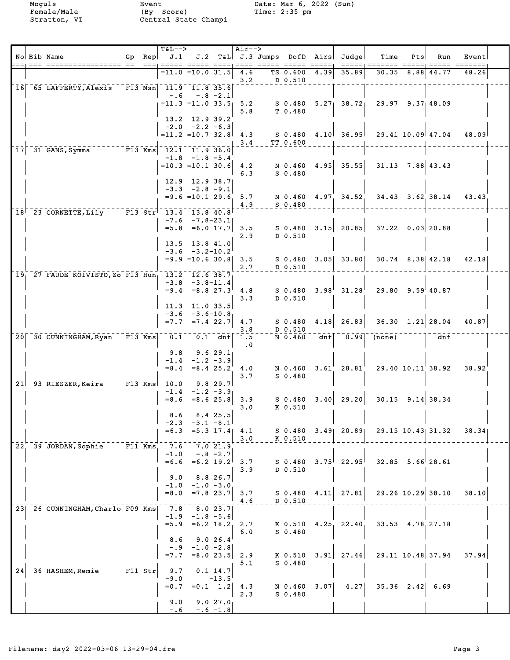|    | No Bib Name                                                               |            | $Gp$ Rep | <b>T&amp;L--&gt;</b><br>J.1               |                                                                         |                                       | Air-->                    |                           |      | J.2 T&L J.3 Jumps DofD Airs Judge | Time                                   | Pts | Run                        | Event                          |  |
|----|---------------------------------------------------------------------------|------------|----------|-------------------------------------------|-------------------------------------------------------------------------|---------------------------------------|---------------------------|---------------------------|------|-----------------------------------|----------------------------------------|-----|----------------------------|--------------------------------|--|
|    |                                                                           |            |          |                                           | $=$ 11.0 $=$ 10.0 31.5 $ $                                              |                                       | 4.6<br>3.2                | TS 0.600 4.39<br>D 0.510  |      | 35.89                             |                                        |     | 30.35 8.88 44.77           | 48.26                          |  |
|    | 16 65 LAFFERTY, Alexis                                                    |            |          | $\sqrt{11.9}$ $\sqrt{11.8}$ 35.6<br>$-.6$ | $-.8 - 2.1$<br>$= 11.3 = 11.0 33.5$ 5.2<br>13.2 12.9 39.2               |                                       | 5.8                       | S 0.480<br>T 0.480        |      |                                   | $5.27$ 38.72 29.97 9.37 48.09          |     |                            |                                |  |
|    |                                                                           |            |          |                                           | $-2.0 -2.2 -6.3$<br>$=11.2$ $=10.7$ 32.8                                |                                       | 4.3<br>3.4                | TT 0.600                  |      |                                   | $S$ 0.480 4.10 36.95 29.41 10.09 47.04 |     |                            | 48.09                          |  |
| 17 | 31 GANS, Symma F13 Kms 12.1 11.9 36.0                                     |            |          |                                           | $-1.8$ $-1.8$ $-5.4$<br>$=10.3$ = 10.1 30.6 4.2<br>$12.9$ $12.9$ $38.7$ |                                       | 6.3                       | $S$ 0.480                 |      | N 0.460 4.95 35.55                | $31.13$ $7.88$ 43.43                   |     |                            |                                |  |
|    |                                                                           |            |          |                                           | $-3.3 -2.8 -9.1$<br>$=9.6$ =10.1 29.6 5.7                               |                                       | 4.9                       | $S_0.480$                 |      | N 0.460 4.97 34.52                |                                        |     | $34.43$ $3.62$ $38.14$     | 43.43                          |  |
|    | 18 23 CORNETTE, Lily F13 Str 13.4 13.8 40.8                               |            |          |                                           | $-7.6$ $-7.8-23.1$<br>$=5.8$ $=6.0$ 17.7 3.5                            |                                       | 2.9                       | S 0.480<br>D 0.510        |      | $3.15$ 20.85                      | $37.22$ 0.03 20.88                     |     |                            |                                |  |
|    |                                                                           |            |          |                                           | $13.5$ $13.8$ $41.0$<br>$-3.6 -3.2 - 10.2$<br>$= 9.9$ = 10.6 30.8 3.5   |                                       | 2.7                       | D 0.510                   |      | $S$ 0.480 3.05 33.80              |                                        |     |                            | $30.74$ $8.38$ $42.18$ $42.18$ |  |
|    | 19 <sub>1</sub> 27 FAUDE KOIVISTO, Zo F13 Hun <sub>1</sub> 13.2 12.6 38.7 |            |          |                                           | $-3.8 - 3.8 - 11.4$<br>$= 9.4$ $= 8.8$ $27.3$ 4.8                       |                                       | 3.3                       | S 0.480<br>D 0.510        |      | $3.98^{1}$ 31.28                  | $29.80$ $9.59$ <sup>1</sup> 40.87      |     |                            |                                |  |
|    |                                                                           |            |          | $=7.7$                                    | $11.3$ 11.0 33.5<br>$-3.6 - 3.6 - 10.8$                                 | $=7.4$ 22.7                           | 4.7<br>3.8                | $S$ 0.480<br>D 0.510      |      | $4.18$ 26.83                      |                                        |     | $36.30 \quad 1.21   28.04$ | 40.87                          |  |
|    | 20 30 CUNNINGHAM, Ryan F13 Kms                                            |            |          | 0.1<br>9.8                                | $-1.4$ $-1.2$ $-3.9$                                                    | $0.1$ dnf<br>9.629.1                  | 1.5<br>$\cdot$ 0          | N 0.460                   |      |                                   | $dnf$ 0.99 (none)                      |     | dnf                        |                                |  |
|    | 21 - 93 RIESZER, Keira F13 Kms 10.0                                       |            |          | $=8.4$                                    | $-1.4$ $-1.2$ $-3.9$                                                    | $= 8.4$ 25.2<br>$9.8$ 29.7            | 4.0<br>3.7                | N 0.460<br>$S$ 0.480      |      | $3.61 \quad 28.81$                | $29.40\ 10.11^\prime\ 38.92$           |     |                            | 38.92                          |  |
|    |                                                                           |            |          | 8.6                                       | $=8.6$ $=8.6$ 25.8<br>$-2.3$ $-3.1$ $-8.1$                              | $8.4$ 25.5                            | 3.9<br>3.0                | S 0.480<br>K 0.510        |      | $3.40$ 29.20                      |                                        |     | $30.15$ $9.14$ 38.34       |                                |  |
|    | 22 39 JORDAN, Sophie                                                      | $F11$ Kms  |          | $= 6.3$<br>7.6                            |                                                                         | 7.021.9                               | $=5.3$ 17.4 4.1<br>3.0    | K 0.510                   |      |                                   | S 0.480 3.49 20.89 29.15 10.43 31.32   |     |                            | 38.34                          |  |
|    |                                                                           |            |          | $-1.0$<br>$= 6.6$<br>9.0                  |                                                                         | $-.8 - 2.7$<br>$=6.2$ 19.2<br>8.826.7 | 3.7<br>3.9                | S 0.480<br>D 0.510        |      | $3.75^{+}$ 22.95                  | $32.85$ $5.66$ 28.61                   |     |                            |                                |  |
|    |                                                                           |            |          | $-1.0$<br>$= 8.0$                         |                                                                         | $-1.0 -3.0$<br>$=7.8$ 23.7            | 3.7<br>4.6                | $S$ 0.480<br>D 0.510      | 4.11 | 27.81                             |                                        |     | $29.26$ 10.29 38.10        | 38.10                          |  |
|    | 23 26 CUNNINGHAM, Charlo F09 Kms                                          |            |          | 7.8                                       | $-1.9$ $-1.8$ $-5.6$<br>$=5.9$ $=6.2$ 18.2                              | 8.023.7                               | 2.7<br>6.0                | K 0.510<br>$S$ 0.480      |      | $4.25$ 22.40                      | 33.53 4.78.27.18                       |     |                            |                                |  |
|    |                                                                           |            |          | 8.6<br>$-.9$<br>$= 7.7$                   |                                                                         | 9.026.4<br>$-1.0 -2.8$                | $= 8.0 23.5   2.9$<br>5.1 | K 0.510<br>$S$ 0.480      |      | $3.91$ 27.46                      |                                        |     | 29.11 10.48 37.94          | 37.94                          |  |
| 24 | 36 HASHEM, Remie                                                          | $ F11$ Str |          | 9.7<br>$-9.0$<br>$= 0.7$                  |                                                                         | $0.1$ 14.7<br>$-13.5$<br>$=0.1$ 1.2   | 4.3<br>2.3                | N 0.460 3.07<br>$S_0.480$ |      | 4.27                              |                                        |     | $35.36$ $2.42$ 6.69        |                                |  |
|    |                                                                           |            |          | 9.0<br>$-0.6$                             |                                                                         | 9.027.0<br>$-.6 - 1.8$                |                           |                           |      |                                   |                                        |     |                            |                                |  |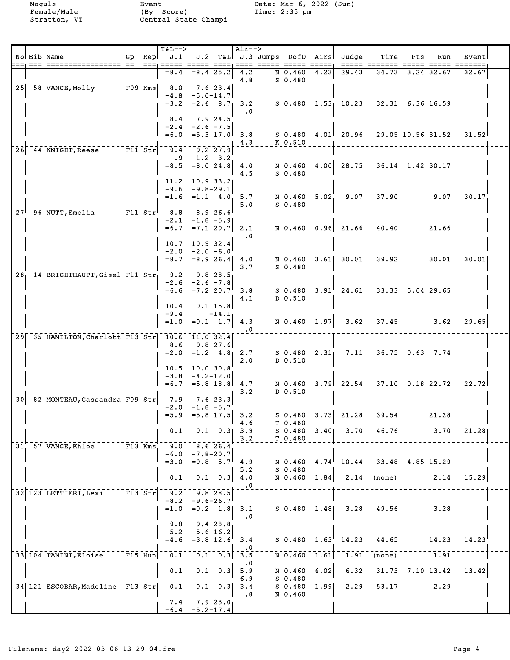|                 | $\qquad \qquad \quad \  \  \, \overline{\qquad \qquad }=$ | No Bib Name<br>=== ==                           |           | Gp Rep<br>$=$ $=$ $+$ | <b>T&amp;L--&gt;</b><br>J.1<br><b>EEEEE EEEEE EEEE</b> |                      |                       | $Air--$                                              | J.2 T&L J.3 Jumps DofD Airs |      | Judge                                                                        | Time<br>=====; ======= =====           | Pts  | Run<br>$=====$       | Event<br>$=======$ |  |
|-----------------|-----------------------------------------------------------|-------------------------------------------------|-----------|-----------------------|--------------------------------------------------------|----------------------|-----------------------|------------------------------------------------------|-----------------------------|------|------------------------------------------------------------------------------|----------------------------------------|------|----------------------|--------------------|--|
|                 |                                                           |                                                 |           |                       | $= 8.4$                                                |                      | $= 8.4$ 25.2          | 4.2                                                  | N 0.460                     | 4.23 | 29.43                                                                        | 34.73                                  | 3.24 | 32.67                | 32.67              |  |
| 25 <sub>1</sub> |                                                           | 58 VANCE, Molly                                 | $F09$ Kms |                       | 8.0                                                    | 7.623.4              |                       | 4.8                                                  | $S$ 0.480                   |      |                                                                              |                                        |      |                      |                    |  |
|                 |                                                           |                                                 |           |                       | $-4.8$ $-5.0 - 14.7$                                   |                      |                       |                                                      |                             |      |                                                                              |                                        |      |                      |                    |  |
|                 |                                                           |                                                 |           |                       | $=3.2$ $=2.6$ 8.7                                      |                      |                       | 3.2<br>$\cdot$ 0                                     |                             |      |                                                                              | $S$ 0.480 1.53 10.23 32.31 6.36 16.59  |      |                      |                    |  |
|                 |                                                           |                                                 |           |                       | 8.4<br>$-2.4 - 2.6 - 7.5$                              |                      | 7.9 24.5              |                                                      |                             |      |                                                                              |                                        |      |                      |                    |  |
|                 |                                                           |                                                 |           |                       | $= 6.0$                                                | $=5.3$ 17.0          |                       | 3.8                                                  |                             |      |                                                                              | $S$ 0.480 4.01 20.96 29.05 10.56 31.52 |      |                      | 31.52              |  |
| 26              |                                                           | 44 KNIGHT, Reese F11 Str                        |           |                       | 9.4                                                    | $9.2$ 27.9           |                       | 4.3                                                  | K 0.510                     |      |                                                                              |                                        |      |                      |                    |  |
|                 |                                                           |                                                 |           |                       |                                                        | $-.9 -1.2 -3.2$      |                       |                                                      |                             |      |                                                                              |                                        |      |                      |                    |  |
|                 |                                                           |                                                 |           |                       | $= 8.5 = 8.0 24.8   4.0$                               |                      |                       | 4.5                                                  | N 0.460<br>$S$ 0.480        | 4.00 | 28.75                                                                        | $36.14$ 1.42 30.17                     |      |                      |                    |  |
|                 |                                                           |                                                 |           |                       | 11.2 10.9 33.2<br>$-9.6 - 9.8 - 29.1$                  |                      |                       |                                                      |                             |      |                                                                              |                                        |      |                      |                    |  |
|                 |                                                           |                                                 |           |                       | $=1.6 = 1.1 4.0$                                       |                      |                       | 5.7                                                  | N 0.460 5.02                |      | 9.07                                                                         | 37.90                                  |      | 9.07                 | 30.17              |  |
|                 |                                                           | 27 96 NUTT, Emelia F11 Str                      |           |                       | 8.8                                                    |                      | 8.926.6               | 5.0                                                  | $S_0.480$                   |      |                                                                              |                                        |      |                      |                    |  |
|                 |                                                           |                                                 |           |                       | $-2.1 -1.8 -5.9$                                       |                      |                       |                                                      |                             |      |                                                                              |                                        |      |                      |                    |  |
|                 |                                                           |                                                 |           |                       | $=6.7$ $=7.1$ 20.7 2.1                                 |                      |                       | $\cdot$ 0                                            |                             |      | $N$ 0.460 0.96 21.66                                                         | 40.40                                  |      | 21.66                |                    |  |
|                 |                                                           |                                                 |           |                       | 10.7<br>$-2.0 -2.0 -6.0$                               | 10.932.4             |                       |                                                      |                             |      |                                                                              |                                        |      |                      |                    |  |
|                 |                                                           |                                                 |           |                       | $=8.7$ $=8.9$ 26.4 4.0                                 |                      |                       |                                                      |                             |      | N 0.460 3.61 30.01                                                           | 39.92                                  |      | 30.01                | 30.01              |  |
|                 |                                                           | 28 14 BRIGHTHAUPT, Gisel F11 Str                |           |                       | 9.2                                                    | 9.828.5              |                       | 3.7                                                  | $S$ 0.480                   |      |                                                                              |                                        |      |                      |                    |  |
|                 |                                                           |                                                 |           |                       | $-2.6 -2.6 -7.8$                                       |                      |                       |                                                      |                             |      |                                                                              |                                        |      |                      |                    |  |
|                 |                                                           |                                                 |           |                       | $=6.6$ $=7.2$ 20.7 3.8                                 |                      |                       | 4.1                                                  | S 0.480<br>D 0.510          | 3.91 | 24.61                                                                        | $33.33$ $5.04$ 29.65                   |      |                      |                    |  |
|                 |                                                           |                                                 |           |                       | 10.4                                                   |                      | $0.1$ 15.8            |                                                      |                             |      |                                                                              |                                        |      |                      |                    |  |
|                 |                                                           |                                                 |           |                       | $-9.4$<br>$=1.0$                                       |                      | $-14.1$<br>$=0.1$ 1.7 | 4.3                                                  | N 0.460 1.97                |      | 3.62                                                                         | 37.45                                  |      | 3.62                 | 29.65              |  |
|                 |                                                           | 29 35 HAMILTON, Charlott F13 Str 10.6 11.0 32.4 |           |                       |                                                        |                      |                       | $\cdot$ 0                                            |                             |      |                                                                              |                                        |      |                      |                    |  |
|                 |                                                           |                                                 |           |                       | $-8.6 - 9.8 - 27.6$                                    |                      |                       |                                                      |                             |      |                                                                              |                                        |      |                      |                    |  |
|                 |                                                           |                                                 |           |                       | $= 2.0$ $= 1.2$ $4.8$ 2.7                              |                      |                       | 2.0                                                  | D 0.510                     |      | $S$ 0.480 2.31 7.11                                                          | $36.75$ 0.63 7.74                      |      |                      |                    |  |
|                 |                                                           |                                                 |           |                       | 10.5 10.0 30.8                                         |                      |                       |                                                      |                             |      |                                                                              |                                        |      |                      |                    |  |
|                 |                                                           |                                                 |           |                       | $-3.8$<br>$=6.7$ $=5.8$ 18.8                           | $-4.2 - 12.0$        |                       | 4.7                                                  |                             |      |                                                                              | N 0.460 3.79 22.54 37.10 0.18 22.72    |      |                      | 22.72              |  |
| 30 <sup>1</sup> |                                                           | 82 MONTEAU, Cassandra F09 Str                   |           |                       |                                                        | $-7.9 - 7.6$ 23.3    |                       | 3.2                                                  | $D$ 0.510                   |      |                                                                              |                                        |      |                      |                    |  |
|                 |                                                           |                                                 |           |                       |                                                        | $-2.0$ $-1.8$ $-5.7$ |                       |                                                      |                             |      |                                                                              |                                        |      |                      |                    |  |
|                 |                                                           |                                                 |           |                       | $=5.9$ $=5.8$ 17.5 3.2                                 |                      |                       | 4.6                                                  | T 0.480                     |      |                                                                              | $S$ 0.480 3.73 21.28 39.54             |      | 21.28                |                    |  |
|                 |                                                           |                                                 |           |                       | 0.1                                                    |                      |                       | $0.1 \quad 0.3$ 3.9                                  | S 0.480<br>T 0.480          |      | $3.40$ $3.70$                                                                | 46.76                                  |      | 3.70                 | 21.28              |  |
|                 |                                                           | 31 57 VANCE, Khloe F13 Kms                      |           |                       | $9.0 \t 8.6 26.4$                                      |                      |                       | 3.2                                                  |                             |      |                                                                              |                                        |      |                      |                    |  |
|                 |                                                           |                                                 |           |                       | $-6.0 -7.8 - 20.7$<br>$=3.0$ $=0.8$ $5.7$ 4.9          |                      |                       |                                                      | N 0.460                     |      |                                                                              | $4.74^{1}$ 10.44 33.48 4.85 15.29      |      |                      |                    |  |
|                 |                                                           |                                                 |           |                       |                                                        |                      |                       | 5.2                                                  | $S_0.480$                   |      |                                                                              |                                        |      |                      |                    |  |
|                 |                                                           |                                                 |           |                       | 0.1                                                    |                      |                       | $0.1 \quad 0.3$ 4.0<br>$\cdot$ 0                     | N 0.460 1.84                |      |                                                                              | $2.14$ (none)                          |      | 2.14                 | 15.29              |  |
|                 |                                                           | 32 123 LETTIERI, Lexi F13 Str                   |           |                       | $9.2$ $9.8$ 28.5<br>$-8.2 - 9.6 - 26.7$                |                      |                       |                                                      |                             |      |                                                                              |                                        |      |                      |                    |  |
|                 |                                                           |                                                 |           |                       |                                                        |                      |                       | $=1.0$ $=0.2$ $1.8$ 3.1                              |                             |      |                                                                              | S 0.480 1.48 3.28 49.56                |      | 3.28                 |                    |  |
|                 |                                                           |                                                 |           |                       |                                                        | $9.8$ $9.4$ 28.8     |                       | $\cdot$ .0                                           |                             |      |                                                                              |                                        |      |                      |                    |  |
|                 |                                                           |                                                 |           |                       | $-5.2 -5.6-16.2$                                       |                      |                       |                                                      |                             |      |                                                                              |                                        |      |                      |                    |  |
|                 |                                                           |                                                 |           |                       | $=4.6$ = 3.8 12.6                                      |                      |                       | 3.4<br>$\cdot$ 0                                     |                             |      | $S$ 0.480 1.63 14.23                                                         | 44.65                                  |      |                      | $14.23$ 14.23      |  |
|                 |                                                           | 33 104 TANINI, Eloise F15 Hun                   |           |                       | $0.1$ $0.1$ $0.3$ $3.5$                                |                      |                       | $\cdot$ 0                                            | $\overline{N}$ 0.460 1.61   |      | $\left  \begin{smallmatrix} - & -1 \\ 1 & 91 \end{smallmatrix} \right ^{-1}$ | $\overline{(none)}$                    |      | $\vert$ 1.91         |                    |  |
|                 |                                                           |                                                 |           |                       | 0.1                                                    |                      | $0.1 \quad 0.3$       | 5.9                                                  | N 0.460 6.02                |      | 6.32                                                                         |                                        |      | $31.73$ $7.10$ 13.42 | 13.42              |  |
|                 |                                                           | 34 121 ESCOBAR, Madeline F13 Str                |           |                       | 0.1                                                    |                      |                       | 6.9<br>$\begin{bmatrix} 0.1 & 0.3 \end{bmatrix}$ 3.4 | $S$ 0.480                   |      |                                                                              | $50.480$ 1.99 $2.29$ 53.17             |      | 2.29                 |                    |  |
|                 |                                                           |                                                 |           |                       |                                                        | $7.4$ $7.9$ $23.0$   |                       | $\overline{\phantom{a}}$ .8                          | N 0.460                     |      |                                                                              |                                        |      |                      |                    |  |
|                 |                                                           |                                                 |           |                       | $-6.4 - 5.2 - 17.4$                                    |                      |                       |                                                      |                             |      |                                                                              |                                        |      |                      |                    |  |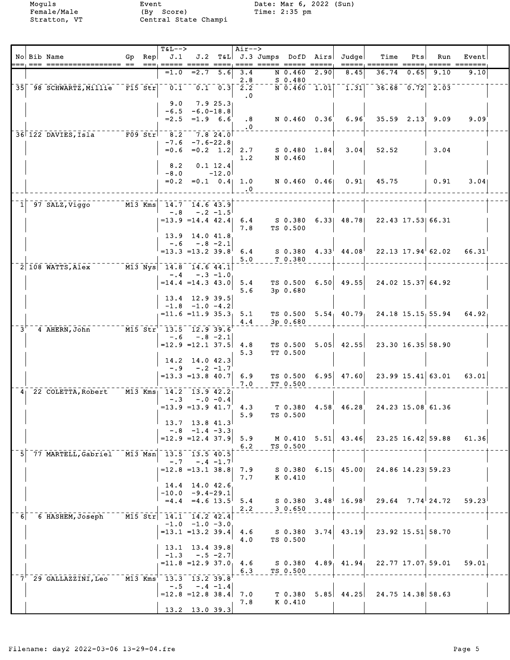| ===== =======<br>$= 2.7$<br>N 0.460<br>2.90<br>$=1.0$<br>5.6<br>3.4<br>8.45<br>36.74<br>0.65<br>9.10<br>9.10<br>2.8<br>$S_0.480$<br>$\overline{0.1}$<br>$N$ 0.460 1.01 1.31<br>$36.68$ $0.72$ $2.03$<br>35 98 SCHWARTZ, Millie F15 Str<br>$0.1 \quad 0.3$<br>$\overline{2.2}$<br>$\cdot$ 0<br>7.925.3<br>9.0<br>$-6.5 - 6.0 - 18.8$<br>$= 2.5 = 1.9 6.6$<br>N 0.460 0.36<br>6.96'<br>$35.59$ $2.13$ $9.09$<br>.8<br>9.09<br>$\cdot$ 0<br>36 122 DAVIES, Isla F09 Str <sup>1</sup> 8.2<br>7.8 24.0<br>$-7.6$<br>$-7.6 - 22.8$<br>$=0.6 = 0.2 1.2$<br>3.04<br>$S$ 0.480 1.84<br>52.52<br>3.04<br>2.7<br>N 0.460<br>1.2<br>8.2<br>0.1 12.4<br>$-8.0$<br>$-12.0$<br>$=0.2$ $=0.1$ $0.4$ 1.0<br>N 0.460 0.46 0.91<br>45.75<br>0.91<br>3.04<br>$\cdot$ 0<br>$M13$ Kms<br>97 SALZ, Viggo<br>14.7 14.6 43.9<br>$-.8$<br>$-.2 -1.5$<br>$= 13.9$ $= 14.4$ 42.4<br>S 0.380 6.33 48.78 22.43 17.53 66.31<br>6.4<br>TS 0.500<br>7.8<br>13.9 14.0 41.8<br>$-.6 - .8 - 2.1$<br>$S$ 0.380 $4.33^{\dagger}$ $44.08^{\dagger}$<br>$22.13$ $17.94$ 62.02<br>$=13.3$ $=13.2$ $39.8$<br>6.4<br>66.31<br>5.0<br>T 0.380<br>$\overline{M13} \text{ Nys}$ 14.8 14.6 44.1<br>2 108 WATTS, Alex<br>$-.4 - .3 - 1.0$<br>$6.50 \mid 49.55$<br>$24.02$ 15.37 64.92<br>$= 14.4 = 14.3 43.0$<br>5.4<br>TS 0.500<br>5.6<br>$3p$ 0.680<br>13.4 12.9 39.5<br>$-1.8$ $-1.0$ $-4.2$<br>TS 0.500 $5.54$ 40.79 24.18 15.15 55.94 64.92<br>$= 11.6 = 11.9 35.3$ 5.1<br>3p 0.680<br>4.4<br>M15 Str 13.5 12.9 39.6<br>$3^{\circ}$<br>4 AHERN, John<br>$-.6 - .8 - 2.1$<br>TS $0.500$ $5.05$ $42.55$ $23.30$ $16.35$ $58.90$<br>$=12.9$ $=12.1$ 37.5<br>4.8<br>5.3<br>TT 0.500<br>14.2 14.0 42.3<br>$-.9 - .2 -1.7$<br>TS $0.500 \quad 6.95$ 47.60<br>$23.99$ 15.41 63.01<br>$=13.3$ $=13.8$ 40.7<br>6.9<br>63.01<br>7.0<br>TT 0.500<br>M13 Kms 14.2 13.9 42.2<br>4 22 COLETTA, Robert<br>$-.0 - 0.4$<br>$-.3$<br>$=13.9$ $=13.9$ $41.7$ $4.3$<br>T 0.380 4.58<br>46.28<br>24.23 15.08 61.36<br>TS 0.500<br>5.9<br>13.7 13.8 41.3<br>$-.8$ $-.1.4$ $-.3.3$<br>$=12.9$ = 12.4 37.9<br>$M$ 0.410 5.51 43.46<br>$23.25$ 16.42 59.88<br>5.9<br>61.36<br>TS 0.500<br>6.2<br>77 MARTELL, Gabriel M13 Msn 13.5 13.5 40.5<br>$-.7 - .4 -1.7$<br>$=12.8$ =13.1 38.8<br>$6.15$ $45.00$<br>24.86 14.23 59.23<br>7.9<br>S 0.380<br>7.7<br>K 0.410<br>14.4 14.0 42.6<br>$-10.0 -9.4-29.1$<br>$=4.4$ $=4.6$ 13.5<br>$3.48^{+}$ 16.98<br>$29.64$ $7.74$ $24.72$<br>S 0.380<br>59.23<br>5.4<br>30.650<br>2.2<br>M15 Str 14.1 14.2 42.4<br>6 HASHEM, Joseph<br>6 <sup>1</sup><br>$-1.0 -1.0 -3.0$<br>$3.74$ 43.19<br>23.92 15.51 58.70<br>$=13.1$ $=13.2$ 39.4<br>4.6<br>S 0.380<br>4.0<br>TS 0.500<br>13.1 13.4 39.8<br>$-.5 -2.7$<br>$-1.3$<br>$= 11.8 = 12.9 37.0$<br>$4.89$ , $41.94$<br>22.77 17.07 59.01<br>4.6<br>S 0.380<br>59.01<br>TS 0.500<br>6.3<br>7 <sup>'</sup> 29 GALLAZZINI, Leo<br>M13 Kms <sup>1</sup> 13.3 13.2 39.8<br>$- 0.5$<br>$-.4 -1.4$<br>$5.85$ 44.25<br>24.75 14.38 58.63<br>$=12.8$ = 12.8 38.4<br>7.0<br>T 0.380<br>K 0.410<br>7.8<br>13.2 13.0 39.3 |  | No Bib Name | Gp Rep | $T\&L--\gt$<br>J.1 |  | $Air-->$ | J.2 T&L J.3 Jumps DofD Airs |  | Judge | Time | Pts | Run | Event |  |
|--------------------------------------------------------------------------------------------------------------------------------------------------------------------------------------------------------------------------------------------------------------------------------------------------------------------------------------------------------------------------------------------------------------------------------------------------------------------------------------------------------------------------------------------------------------------------------------------------------------------------------------------------------------------------------------------------------------------------------------------------------------------------------------------------------------------------------------------------------------------------------------------------------------------------------------------------------------------------------------------------------------------------------------------------------------------------------------------------------------------------------------------------------------------------------------------------------------------------------------------------------------------------------------------------------------------------------------------------------------------------------------------------------------------------------------------------------------------------------------------------------------------------------------------------------------------------------------------------------------------------------------------------------------------------------------------------------------------------------------------------------------------------------------------------------------------------------------------------------------------------------------------------------------------------------------------------------------------------------------------------------------------------------------------------------------------------------------------------------------------------------------------------------------------------------------------------------------------------------------------------------------------------------------------------------------------------------------------------------------------------------------------------------------------------------------------------------------------------------------------------------------------------------------------------------------------------------------------------------------------------------------------------------------------------------------------------------------------------------------------------------------------------------------------------------------------------------------------------------------------------------------------------------------------------------------------------------------------------------------------------------------------------|--|-------------|--------|--------------------|--|----------|-----------------------------|--|-------|------|-----|-----|-------|--|
|                                                                                                                                                                                                                                                                                                                                                                                                                                                                                                                                                                                                                                                                                                                                                                                                                                                                                                                                                                                                                                                                                                                                                                                                                                                                                                                                                                                                                                                                                                                                                                                                                                                                                                                                                                                                                                                                                                                                                                                                                                                                                                                                                                                                                                                                                                                                                                                                                                                                                                                                                                                                                                                                                                                                                                                                                                                                                                                                                                                                                          |  |             |        |                    |  |          |                             |  |       |      |     |     |       |  |
|                                                                                                                                                                                                                                                                                                                                                                                                                                                                                                                                                                                                                                                                                                                                                                                                                                                                                                                                                                                                                                                                                                                                                                                                                                                                                                                                                                                                                                                                                                                                                                                                                                                                                                                                                                                                                                                                                                                                                                                                                                                                                                                                                                                                                                                                                                                                                                                                                                                                                                                                                                                                                                                                                                                                                                                                                                                                                                                                                                                                                          |  |             |        |                    |  |          |                             |  |       |      |     |     |       |  |
|                                                                                                                                                                                                                                                                                                                                                                                                                                                                                                                                                                                                                                                                                                                                                                                                                                                                                                                                                                                                                                                                                                                                                                                                                                                                                                                                                                                                                                                                                                                                                                                                                                                                                                                                                                                                                                                                                                                                                                                                                                                                                                                                                                                                                                                                                                                                                                                                                                                                                                                                                                                                                                                                                                                                                                                                                                                                                                                                                                                                                          |  |             |        |                    |  |          |                             |  |       |      |     |     |       |  |
|                                                                                                                                                                                                                                                                                                                                                                                                                                                                                                                                                                                                                                                                                                                                                                                                                                                                                                                                                                                                                                                                                                                                                                                                                                                                                                                                                                                                                                                                                                                                                                                                                                                                                                                                                                                                                                                                                                                                                                                                                                                                                                                                                                                                                                                                                                                                                                                                                                                                                                                                                                                                                                                                                                                                                                                                                                                                                                                                                                                                                          |  |             |        |                    |  |          |                             |  |       |      |     |     |       |  |
|                                                                                                                                                                                                                                                                                                                                                                                                                                                                                                                                                                                                                                                                                                                                                                                                                                                                                                                                                                                                                                                                                                                                                                                                                                                                                                                                                                                                                                                                                                                                                                                                                                                                                                                                                                                                                                                                                                                                                                                                                                                                                                                                                                                                                                                                                                                                                                                                                                                                                                                                                                                                                                                                                                                                                                                                                                                                                                                                                                                                                          |  |             |        |                    |  |          |                             |  |       |      |     |     |       |  |
|                                                                                                                                                                                                                                                                                                                                                                                                                                                                                                                                                                                                                                                                                                                                                                                                                                                                                                                                                                                                                                                                                                                                                                                                                                                                                                                                                                                                                                                                                                                                                                                                                                                                                                                                                                                                                                                                                                                                                                                                                                                                                                                                                                                                                                                                                                                                                                                                                                                                                                                                                                                                                                                                                                                                                                                                                                                                                                                                                                                                                          |  |             |        |                    |  |          |                             |  |       |      |     |     |       |  |
|                                                                                                                                                                                                                                                                                                                                                                                                                                                                                                                                                                                                                                                                                                                                                                                                                                                                                                                                                                                                                                                                                                                                                                                                                                                                                                                                                                                                                                                                                                                                                                                                                                                                                                                                                                                                                                                                                                                                                                                                                                                                                                                                                                                                                                                                                                                                                                                                                                                                                                                                                                                                                                                                                                                                                                                                                                                                                                                                                                                                                          |  |             |        |                    |  |          |                             |  |       |      |     |     |       |  |
|                                                                                                                                                                                                                                                                                                                                                                                                                                                                                                                                                                                                                                                                                                                                                                                                                                                                                                                                                                                                                                                                                                                                                                                                                                                                                                                                                                                                                                                                                                                                                                                                                                                                                                                                                                                                                                                                                                                                                                                                                                                                                                                                                                                                                                                                                                                                                                                                                                                                                                                                                                                                                                                                                                                                                                                                                                                                                                                                                                                                                          |  |             |        |                    |  |          |                             |  |       |      |     |     |       |  |
|                                                                                                                                                                                                                                                                                                                                                                                                                                                                                                                                                                                                                                                                                                                                                                                                                                                                                                                                                                                                                                                                                                                                                                                                                                                                                                                                                                                                                                                                                                                                                                                                                                                                                                                                                                                                                                                                                                                                                                                                                                                                                                                                                                                                                                                                                                                                                                                                                                                                                                                                                                                                                                                                                                                                                                                                                                                                                                                                                                                                                          |  |             |        |                    |  |          |                             |  |       |      |     |     |       |  |
|                                                                                                                                                                                                                                                                                                                                                                                                                                                                                                                                                                                                                                                                                                                                                                                                                                                                                                                                                                                                                                                                                                                                                                                                                                                                                                                                                                                                                                                                                                                                                                                                                                                                                                                                                                                                                                                                                                                                                                                                                                                                                                                                                                                                                                                                                                                                                                                                                                                                                                                                                                                                                                                                                                                                                                                                                                                                                                                                                                                                                          |  |             |        |                    |  |          |                             |  |       |      |     |     |       |  |
|                                                                                                                                                                                                                                                                                                                                                                                                                                                                                                                                                                                                                                                                                                                                                                                                                                                                                                                                                                                                                                                                                                                                                                                                                                                                                                                                                                                                                                                                                                                                                                                                                                                                                                                                                                                                                                                                                                                                                                                                                                                                                                                                                                                                                                                                                                                                                                                                                                                                                                                                                                                                                                                                                                                                                                                                                                                                                                                                                                                                                          |  |             |        |                    |  |          |                             |  |       |      |     |     |       |  |
|                                                                                                                                                                                                                                                                                                                                                                                                                                                                                                                                                                                                                                                                                                                                                                                                                                                                                                                                                                                                                                                                                                                                                                                                                                                                                                                                                                                                                                                                                                                                                                                                                                                                                                                                                                                                                                                                                                                                                                                                                                                                                                                                                                                                                                                                                                                                                                                                                                                                                                                                                                                                                                                                                                                                                                                                                                                                                                                                                                                                                          |  |             |        |                    |  |          |                             |  |       |      |     |     |       |  |
|                                                                                                                                                                                                                                                                                                                                                                                                                                                                                                                                                                                                                                                                                                                                                                                                                                                                                                                                                                                                                                                                                                                                                                                                                                                                                                                                                                                                                                                                                                                                                                                                                                                                                                                                                                                                                                                                                                                                                                                                                                                                                                                                                                                                                                                                                                                                                                                                                                                                                                                                                                                                                                                                                                                                                                                                                                                                                                                                                                                                                          |  |             |        |                    |  |          |                             |  |       |      |     |     |       |  |
|                                                                                                                                                                                                                                                                                                                                                                                                                                                                                                                                                                                                                                                                                                                                                                                                                                                                                                                                                                                                                                                                                                                                                                                                                                                                                                                                                                                                                                                                                                                                                                                                                                                                                                                                                                                                                                                                                                                                                                                                                                                                                                                                                                                                                                                                                                                                                                                                                                                                                                                                                                                                                                                                                                                                                                                                                                                                                                                                                                                                                          |  |             |        |                    |  |          |                             |  |       |      |     |     |       |  |
|                                                                                                                                                                                                                                                                                                                                                                                                                                                                                                                                                                                                                                                                                                                                                                                                                                                                                                                                                                                                                                                                                                                                                                                                                                                                                                                                                                                                                                                                                                                                                                                                                                                                                                                                                                                                                                                                                                                                                                                                                                                                                                                                                                                                                                                                                                                                                                                                                                                                                                                                                                                                                                                                                                                                                                                                                                                                                                                                                                                                                          |  |             |        |                    |  |          |                             |  |       |      |     |     |       |  |
|                                                                                                                                                                                                                                                                                                                                                                                                                                                                                                                                                                                                                                                                                                                                                                                                                                                                                                                                                                                                                                                                                                                                                                                                                                                                                                                                                                                                                                                                                                                                                                                                                                                                                                                                                                                                                                                                                                                                                                                                                                                                                                                                                                                                                                                                                                                                                                                                                                                                                                                                                                                                                                                                                                                                                                                                                                                                                                                                                                                                                          |  |             |        |                    |  |          |                             |  |       |      |     |     |       |  |
|                                                                                                                                                                                                                                                                                                                                                                                                                                                                                                                                                                                                                                                                                                                                                                                                                                                                                                                                                                                                                                                                                                                                                                                                                                                                                                                                                                                                                                                                                                                                                                                                                                                                                                                                                                                                                                                                                                                                                                                                                                                                                                                                                                                                                                                                                                                                                                                                                                                                                                                                                                                                                                                                                                                                                                                                                                                                                                                                                                                                                          |  |             |        |                    |  |          |                             |  |       |      |     |     |       |  |
|                                                                                                                                                                                                                                                                                                                                                                                                                                                                                                                                                                                                                                                                                                                                                                                                                                                                                                                                                                                                                                                                                                                                                                                                                                                                                                                                                                                                                                                                                                                                                                                                                                                                                                                                                                                                                                                                                                                                                                                                                                                                                                                                                                                                                                                                                                                                                                                                                                                                                                                                                                                                                                                                                                                                                                                                                                                                                                                                                                                                                          |  |             |        |                    |  |          |                             |  |       |      |     |     |       |  |
|                                                                                                                                                                                                                                                                                                                                                                                                                                                                                                                                                                                                                                                                                                                                                                                                                                                                                                                                                                                                                                                                                                                                                                                                                                                                                                                                                                                                                                                                                                                                                                                                                                                                                                                                                                                                                                                                                                                                                                                                                                                                                                                                                                                                                                                                                                                                                                                                                                                                                                                                                                                                                                                                                                                                                                                                                                                                                                                                                                                                                          |  |             |        |                    |  |          |                             |  |       |      |     |     |       |  |
|                                                                                                                                                                                                                                                                                                                                                                                                                                                                                                                                                                                                                                                                                                                                                                                                                                                                                                                                                                                                                                                                                                                                                                                                                                                                                                                                                                                                                                                                                                                                                                                                                                                                                                                                                                                                                                                                                                                                                                                                                                                                                                                                                                                                                                                                                                                                                                                                                                                                                                                                                                                                                                                                                                                                                                                                                                                                                                                                                                                                                          |  |             |        |                    |  |          |                             |  |       |      |     |     |       |  |
|                                                                                                                                                                                                                                                                                                                                                                                                                                                                                                                                                                                                                                                                                                                                                                                                                                                                                                                                                                                                                                                                                                                                                                                                                                                                                                                                                                                                                                                                                                                                                                                                                                                                                                                                                                                                                                                                                                                                                                                                                                                                                                                                                                                                                                                                                                                                                                                                                                                                                                                                                                                                                                                                                                                                                                                                                                                                                                                                                                                                                          |  |             |        |                    |  |          |                             |  |       |      |     |     |       |  |
|                                                                                                                                                                                                                                                                                                                                                                                                                                                                                                                                                                                                                                                                                                                                                                                                                                                                                                                                                                                                                                                                                                                                                                                                                                                                                                                                                                                                                                                                                                                                                                                                                                                                                                                                                                                                                                                                                                                                                                                                                                                                                                                                                                                                                                                                                                                                                                                                                                                                                                                                                                                                                                                                                                                                                                                                                                                                                                                                                                                                                          |  |             |        |                    |  |          |                             |  |       |      |     |     |       |  |
|                                                                                                                                                                                                                                                                                                                                                                                                                                                                                                                                                                                                                                                                                                                                                                                                                                                                                                                                                                                                                                                                                                                                                                                                                                                                                                                                                                                                                                                                                                                                                                                                                                                                                                                                                                                                                                                                                                                                                                                                                                                                                                                                                                                                                                                                                                                                                                                                                                                                                                                                                                                                                                                                                                                                                                                                                                                                                                                                                                                                                          |  |             |        |                    |  |          |                             |  |       |      |     |     |       |  |
|                                                                                                                                                                                                                                                                                                                                                                                                                                                                                                                                                                                                                                                                                                                                                                                                                                                                                                                                                                                                                                                                                                                                                                                                                                                                                                                                                                                                                                                                                                                                                                                                                                                                                                                                                                                                                                                                                                                                                                                                                                                                                                                                                                                                                                                                                                                                                                                                                                                                                                                                                                                                                                                                                                                                                                                                                                                                                                                                                                                                                          |  |             |        |                    |  |          |                             |  |       |      |     |     |       |  |
|                                                                                                                                                                                                                                                                                                                                                                                                                                                                                                                                                                                                                                                                                                                                                                                                                                                                                                                                                                                                                                                                                                                                                                                                                                                                                                                                                                                                                                                                                                                                                                                                                                                                                                                                                                                                                                                                                                                                                                                                                                                                                                                                                                                                                                                                                                                                                                                                                                                                                                                                                                                                                                                                                                                                                                                                                                                                                                                                                                                                                          |  |             |        |                    |  |          |                             |  |       |      |     |     |       |  |
|                                                                                                                                                                                                                                                                                                                                                                                                                                                                                                                                                                                                                                                                                                                                                                                                                                                                                                                                                                                                                                                                                                                                                                                                                                                                                                                                                                                                                                                                                                                                                                                                                                                                                                                                                                                                                                                                                                                                                                                                                                                                                                                                                                                                                                                                                                                                                                                                                                                                                                                                                                                                                                                                                                                                                                                                                                                                                                                                                                                                                          |  |             |        |                    |  |          |                             |  |       |      |     |     |       |  |
|                                                                                                                                                                                                                                                                                                                                                                                                                                                                                                                                                                                                                                                                                                                                                                                                                                                                                                                                                                                                                                                                                                                                                                                                                                                                                                                                                                                                                                                                                                                                                                                                                                                                                                                                                                                                                                                                                                                                                                                                                                                                                                                                                                                                                                                                                                                                                                                                                                                                                                                                                                                                                                                                                                                                                                                                                                                                                                                                                                                                                          |  |             |        |                    |  |          |                             |  |       |      |     |     |       |  |
|                                                                                                                                                                                                                                                                                                                                                                                                                                                                                                                                                                                                                                                                                                                                                                                                                                                                                                                                                                                                                                                                                                                                                                                                                                                                                                                                                                                                                                                                                                                                                                                                                                                                                                                                                                                                                                                                                                                                                                                                                                                                                                                                                                                                                                                                                                                                                                                                                                                                                                                                                                                                                                                                                                                                                                                                                                                                                                                                                                                                                          |  |             |        |                    |  |          |                             |  |       |      |     |     |       |  |
|                                                                                                                                                                                                                                                                                                                                                                                                                                                                                                                                                                                                                                                                                                                                                                                                                                                                                                                                                                                                                                                                                                                                                                                                                                                                                                                                                                                                                                                                                                                                                                                                                                                                                                                                                                                                                                                                                                                                                                                                                                                                                                                                                                                                                                                                                                                                                                                                                                                                                                                                                                                                                                                                                                                                                                                                                                                                                                                                                                                                                          |  |             |        |                    |  |          |                             |  |       |      |     |     |       |  |
|                                                                                                                                                                                                                                                                                                                                                                                                                                                                                                                                                                                                                                                                                                                                                                                                                                                                                                                                                                                                                                                                                                                                                                                                                                                                                                                                                                                                                                                                                                                                                                                                                                                                                                                                                                                                                                                                                                                                                                                                                                                                                                                                                                                                                                                                                                                                                                                                                                                                                                                                                                                                                                                                                                                                                                                                                                                                                                                                                                                                                          |  |             |        |                    |  |          |                             |  |       |      |     |     |       |  |
|                                                                                                                                                                                                                                                                                                                                                                                                                                                                                                                                                                                                                                                                                                                                                                                                                                                                                                                                                                                                                                                                                                                                                                                                                                                                                                                                                                                                                                                                                                                                                                                                                                                                                                                                                                                                                                                                                                                                                                                                                                                                                                                                                                                                                                                                                                                                                                                                                                                                                                                                                                                                                                                                                                                                                                                                                                                                                                                                                                                                                          |  |             |        |                    |  |          |                             |  |       |      |     |     |       |  |
|                                                                                                                                                                                                                                                                                                                                                                                                                                                                                                                                                                                                                                                                                                                                                                                                                                                                                                                                                                                                                                                                                                                                                                                                                                                                                                                                                                                                                                                                                                                                                                                                                                                                                                                                                                                                                                                                                                                                                                                                                                                                                                                                                                                                                                                                                                                                                                                                                                                                                                                                                                                                                                                                                                                                                                                                                                                                                                                                                                                                                          |  |             |        |                    |  |          |                             |  |       |      |     |     |       |  |
|                                                                                                                                                                                                                                                                                                                                                                                                                                                                                                                                                                                                                                                                                                                                                                                                                                                                                                                                                                                                                                                                                                                                                                                                                                                                                                                                                                                                                                                                                                                                                                                                                                                                                                                                                                                                                                                                                                                                                                                                                                                                                                                                                                                                                                                                                                                                                                                                                                                                                                                                                                                                                                                                                                                                                                                                                                                                                                                                                                                                                          |  |             |        |                    |  |          |                             |  |       |      |     |     |       |  |
|                                                                                                                                                                                                                                                                                                                                                                                                                                                                                                                                                                                                                                                                                                                                                                                                                                                                                                                                                                                                                                                                                                                                                                                                                                                                                                                                                                                                                                                                                                                                                                                                                                                                                                                                                                                                                                                                                                                                                                                                                                                                                                                                                                                                                                                                                                                                                                                                                                                                                                                                                                                                                                                                                                                                                                                                                                                                                                                                                                                                                          |  |             |        |                    |  |          |                             |  |       |      |     |     |       |  |
|                                                                                                                                                                                                                                                                                                                                                                                                                                                                                                                                                                                                                                                                                                                                                                                                                                                                                                                                                                                                                                                                                                                                                                                                                                                                                                                                                                                                                                                                                                                                                                                                                                                                                                                                                                                                                                                                                                                                                                                                                                                                                                                                                                                                                                                                                                                                                                                                                                                                                                                                                                                                                                                                                                                                                                                                                                                                                                                                                                                                                          |  |             |        |                    |  |          |                             |  |       |      |     |     |       |  |
|                                                                                                                                                                                                                                                                                                                                                                                                                                                                                                                                                                                                                                                                                                                                                                                                                                                                                                                                                                                                                                                                                                                                                                                                                                                                                                                                                                                                                                                                                                                                                                                                                                                                                                                                                                                                                                                                                                                                                                                                                                                                                                                                                                                                                                                                                                                                                                                                                                                                                                                                                                                                                                                                                                                                                                                                                                                                                                                                                                                                                          |  |             |        |                    |  |          |                             |  |       |      |     |     |       |  |
|                                                                                                                                                                                                                                                                                                                                                                                                                                                                                                                                                                                                                                                                                                                                                                                                                                                                                                                                                                                                                                                                                                                                                                                                                                                                                                                                                                                                                                                                                                                                                                                                                                                                                                                                                                                                                                                                                                                                                                                                                                                                                                                                                                                                                                                                                                                                                                                                                                                                                                                                                                                                                                                                                                                                                                                                                                                                                                                                                                                                                          |  |             |        |                    |  |          |                             |  |       |      |     |     |       |  |
|                                                                                                                                                                                                                                                                                                                                                                                                                                                                                                                                                                                                                                                                                                                                                                                                                                                                                                                                                                                                                                                                                                                                                                                                                                                                                                                                                                                                                                                                                                                                                                                                                                                                                                                                                                                                                                                                                                                                                                                                                                                                                                                                                                                                                                                                                                                                                                                                                                                                                                                                                                                                                                                                                                                                                                                                                                                                                                                                                                                                                          |  |             |        |                    |  |          |                             |  |       |      |     |     |       |  |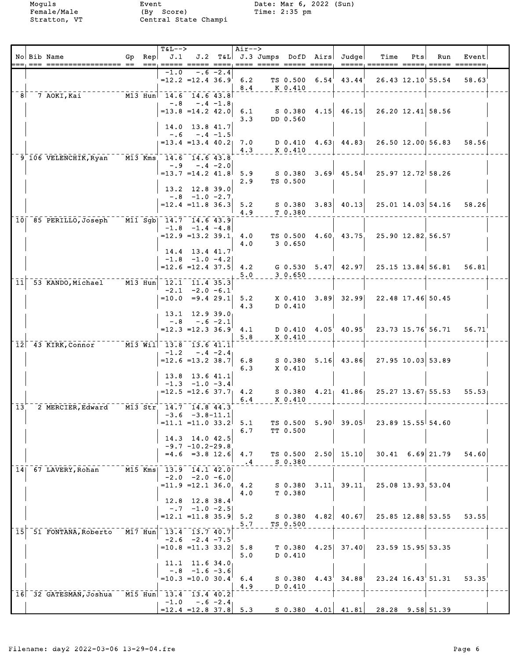|                 |  | No Bib Name                                                                |  | <b>T&amp;L--&gt;</b>                            |                                                |             | Air-->        |                     |                   | Gp Rep $J.1$ $J.2$ T&L J.3 Jumps DofD Airs Judge | Time<br>=====, =======  =====, =====  ====== | Pts | Run                         | Event                   |  |
|-----------------|--|----------------------------------------------------------------------------|--|-------------------------------------------------|------------------------------------------------|-------------|---------------|---------------------|-------------------|--------------------------------------------------|----------------------------------------------|-----|-----------------------------|-------------------------|--|
|                 |  |                                                                            |  | $-1.0$                                          |                                                | $-.6 -2.4$  |               |                     |                   | $=12.2$ =12.4 36.9 6.2 TS 0.500 6.54 43.44       |                                              |     |                             | 26.43 12.10 55.54 58.63 |  |
| -81             |  | 7 AOKI,Kai                                                                 |  | $\overline{M13}$ Hun <sup>-14.6</sup> 14.6 43.8 |                                                |             | 8.4           | K 0.410             |                   |                                                  |                                              |     |                             |                         |  |
|                 |  |                                                                            |  |                                                 | $-.8 - .4 -1.8$                                |             |               |                     |                   |                                                  |                                              |     |                             |                         |  |
|                 |  |                                                                            |  | $=13.8$ $=14.2$ 42.0                            |                                                |             | 6.1<br>3.3    | DD 0.560            |                   | $S$ 0.380 4.15 46.15                             | $26.20$ 12.41 58.56                          |     |                             |                         |  |
|                 |  |                                                                            |  |                                                 | $14.0$ 13.8 41.7<br>$-.6 - .4 - 1.5$           |             |               |                     |                   |                                                  |                                              |     |                             |                         |  |
|                 |  |                                                                            |  | $= 13.4$ $= 13.4$ $40.2$ 7.0                    |                                                |             | 4.3           | X 0.410             |                   |                                                  | D 0.410 4.63 44.83 26.50 12.00 56.83         |     |                             | 58.56                   |  |
|                 |  | 9 106 VELENCHIK, Ryan M13 Kms 14.6 14.6 43.8                               |  |                                                 |                                                |             |               |                     |                   |                                                  |                                              |     |                             |                         |  |
|                 |  |                                                                            |  | $=13.7$ $=14.2$ $41.8$ 5.9                      | $-.9 - .4 - 2.0$                               |             |               | S 0.380             |                   |                                                  | $3.69$ 45.54 25.97 12.72 58.26               |     |                             |                         |  |
|                 |  |                                                                            |  |                                                 | $13.2$ 12.8 39.0                               |             | 2.9           | TS 0.500            |                   |                                                  |                                              |     |                             |                         |  |
|                 |  |                                                                            |  | $=12.4$ = 11.8 36.3 5.2                         | $-.8$ $-.1.0$ $-2.7$                           |             |               |                     |                   |                                                  |                                              |     |                             | 58.26                   |  |
|                 |  | 10 85 PERILLO, Joseph M11 Sgb 14.7 14.6 43.9                               |  |                                                 |                                                |             | 4.9           | T 0.380             |                   |                                                  |                                              |     |                             |                         |  |
|                 |  |                                                                            |  |                                                 | $-1.8$ $-1.4$ $-4.8$                           |             |               |                     |                   |                                                  |                                              |     |                             |                         |  |
|                 |  |                                                                            |  | $=12.9$ = 13.2 39.1 4.0                         |                                                |             | 4.0           | 3 0.650             |                   | TS 0.500 4.60 43.75                              | 25.90 12.82.56.57                            |     |                             |                         |  |
|                 |  |                                                                            |  |                                                 | $14.4$ 13.4 $41.7$<br>$-1.8$ $-1.0$ $-4.2$     |             |               |                     |                   |                                                  |                                              |     |                             |                         |  |
|                 |  |                                                                            |  | $= 12.6 = 12.4$ 37.5 4.2                        |                                                |             | 5.0           | 30.650              |                   |                                                  |                                              |     |                             | 56.81                   |  |
| 11              |  | 53 KANDO, Michael M13 Hun 12.1 11.4 35.3                                   |  |                                                 |                                                |             |               |                     |                   |                                                  |                                              |     |                             |                         |  |
|                 |  |                                                                            |  | $=10.0$ $=9.4$ 29.1 5.2                         | $-2.1 -2.0 -6.1$                               |             |               |                     |                   |                                                  | X 0.410 3.89 32.99 22.48 17.46 50.45         |     |                             |                         |  |
|                 |  |                                                                            |  |                                                 | $13.1$ $12.9$ $39.0$                           |             | 4.3           | D 0.410             |                   |                                                  |                                              |     |                             |                         |  |
|                 |  |                                                                            |  | $-0.8$<br>$=12.3$ $=12.3$ $36.9$ 4.1            |                                                | $-.6 -2.1$  |               |                     |                   | $D$ 0.410 4.05 40.95                             | 23.73 15.76 56.71 56.71                      |     |                             |                         |  |
|                 |  | $12$ <sup>-43</sup> KIRK, Connor <sup>------</sup> M13 Will 13.8 13.6 41.1 |  |                                                 |                                                |             | 5.8           | X 0.410             |                   |                                                  |                                              |     |                             |                         |  |
|                 |  |                                                                            |  | $-1.2$                                          | $-.4 -2.4$                                     |             |               |                     |                   |                                                  | $5.16$ 43.86 27.95 10.03 53.89               |     |                             |                         |  |
|                 |  |                                                                            |  | $=12.6$ = 13.2 38.7                             |                                                |             | 6.8<br>6.3    | S 0.380<br>X 0.410  |                   |                                                  |                                              |     |                             |                         |  |
|                 |  |                                                                            |  |                                                 | 13.8 13.6 41.1<br>$-1.3$ $-1.0$ $-3.4$         |             |               |                     |                   |                                                  |                                              |     |                             |                         |  |
|                 |  |                                                                            |  | $=12.5$ = 12.6 37.7 4.2                         |                                                |             | 6.4           | X 0.410             |                   |                                                  | $S$ 0.380 4.21 41.86 25.27 13.67 55.53       |     |                             | 55.53                   |  |
| 13 <sup>′</sup> |  | 2 MERCIER, Edward M13 Str 14.7 14.8 44.3                                   |  |                                                 | $-3.6 -3.8 - 11.1$                             |             |               |                     |                   |                                                  |                                              |     |                             |                         |  |
|                 |  |                                                                            |  | $= 11.1 = 11.0 33.2$                            |                                                |             | 5.1           | TS 0.500            |                   | 5.90   39.05                                     | 23.89 15.55 54.60                            |     |                             |                         |  |
|                 |  |                                                                            |  |                                                 | 14.3 14.0 42.5                                 |             | 6.7           | TT 0.500            |                   |                                                  |                                              |     |                             |                         |  |
|                 |  |                                                                            |  |                                                 | $-9.7 - 10.2 - 29.8$<br>$=4.6$ $=3.8$ 12.6 4.7 |             |               | TS 0.500            |                   | $2.50$ 15.10                                     |                                              |     | $30.41 \quad 6.69 \, 21.79$ | 54.60                   |  |
|                 |  | 14 67 LAVERY, Rohan                                                        |  | M15 Kms  13.9 14.1 42.0                         |                                                |             | $\ddot{ }$ .4 | S 0.380             |                   |                                                  |                                              |     |                             |                         |  |
|                 |  |                                                                            |  | $=11.9$ $=12.1$ 36.0                            | $-2.0 -2.0 -6.0$                               |             | 4.2           | S 0.380             |                   | $3.11 \quad 39.11$                               | 25.08 13.93 53.04                            |     |                             |                         |  |
|                 |  |                                                                            |  |                                                 |                                                |             | 4.0           | T 0.380             |                   |                                                  |                                              |     |                             |                         |  |
|                 |  |                                                                            |  |                                                 | 12.8 12.8 38.4<br>$-0.7 -1.0 -2.5$             |             |               |                     |                   |                                                  |                                              |     |                             |                         |  |
|                 |  |                                                                            |  | $=12.1$ $=11.8$ 35.9                            |                                                |             | 5.2<br>5.7    | S 0.380<br>TS 0.500 | 4.82              | 40.67                                            |                                              |     | 25.85 12.88 53.55           | 53.55                   |  |
| 15 <sub>1</sub> |  | 51 FONTANA, Roberto                                                        |  | M17 Hun 13.4 13.7 40.7                          | $-2.6 -2.4 -7.5$                               |             |               |                     |                   |                                                  |                                              |     |                             |                         |  |
|                 |  |                                                                            |  | $=10.8$ =11.3 33.2                              |                                                |             | 5.8<br>5.0    | T 0.380<br>D 0.410  | 4.25              | 37.40                                            | 23.59 15.95 53.35                            |     |                             |                         |  |
|                 |  |                                                                            |  |                                                 | 11.1 11.6 34.0                                 |             |               |                     |                   |                                                  |                                              |     |                             |                         |  |
|                 |  |                                                                            |  | $=10.3 = 10.0 30.4$                             | $-.8$ $-1.6$ $-3.6$                            |             | 6.4           | S 0.380             | 4.43 <sup>′</sup> | 34.88                                            |                                              |     | 23.24 16.43 51.31           | 53.35                   |  |
|                 |  | 16 32 GATESMAN, Joshua M15 Hun 13.4 13.4 40.2                              |  |                                                 |                                                |             | 4.9           | D 0.410             |                   |                                                  |                                              |     |                             |                         |  |
|                 |  |                                                                            |  | $-1.0$<br>$= 12.4$ $= 12.8$ 37.8 5.3            |                                                | $-.6 - 2.4$ |               |                     |                   |                                                  | $S$ 0.380 4.01 41.81 28.28 9.58 51.39        |     |                             |                         |  |
|                 |  |                                                                            |  |                                                 |                                                |             |               |                     |                   |                                                  |                                              |     |                             |                         |  |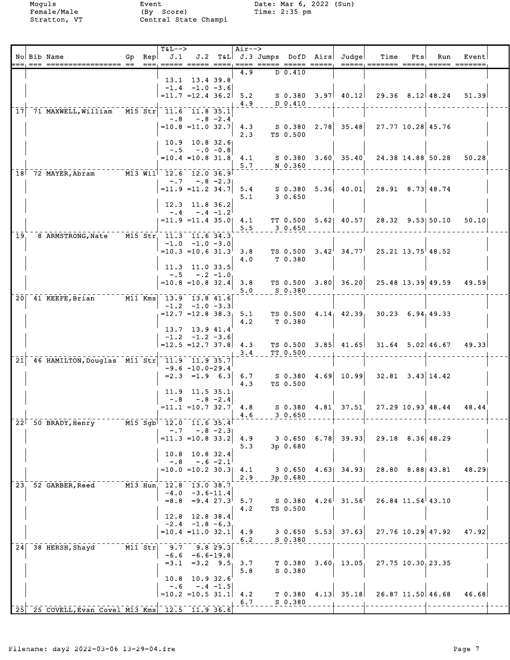Moguls Event Date: Mar 6, 2022 (Sun) Female/Male (By Score) Time: 2:35 pm Stratton, VT Central State Champi

|                 | No Bib Name                                           |  | <b>T&amp;L--&gt;</b><br>Gp $Rep   J.1$<br>$=$ == $=$ $=$ === $=$ $=$ $=$ |                                                  |             | Air-->     |                      | J.2 T&L J.3 Jumps DofD Airs Judge | Time                                                        | Pts | Run                       | Event |  |
|-----------------|-------------------------------------------------------|--|--------------------------------------------------------------------------|--------------------------------------------------|-------------|------------|----------------------|-----------------------------------|-------------------------------------------------------------|-----|---------------------------|-------|--|
|                 |                                                       |  |                                                                          |                                                  |             | 4.9        | D 0.410              |                                   |                                                             |     |                           |       |  |
|                 |                                                       |  |                                                                          | 13.1 13.4 39.8<br>$-1.4 -1.0 -3.6$               |             |            |                      |                                   |                                                             |     |                           |       |  |
|                 |                                                       |  |                                                                          | $=11.7$ $=12.4$ 36.2                             |             | 5.2        |                      |                                   | $S$ 0.380 3.97 40.12 29.36 8.12 48.24                       |     |                           | 51.39 |  |
|                 |                                                       |  |                                                                          |                                                  |             | 4.9        | $D$ 0.410            |                                   |                                                             |     |                           |       |  |
| 17 <sup>1</sup> | 71 MAXWELL, William M15 Str                           |  |                                                                          | 11.6 11.8 35.1<br>$-.8 - .8 - 2.4$               |             |            |                      |                                   |                                                             |     |                           |       |  |
|                 |                                                       |  |                                                                          | $=10.8$ = 11.0 32.7 4.3                          |             |            |                      |                                   |                                                             |     |                           |       |  |
|                 |                                                       |  |                                                                          | $10.9$ $10.8$ $32.6$                             |             | 2.3        | TS 0.500             |                                   |                                                             |     |                           |       |  |
|                 |                                                       |  |                                                                          | $-.5 - .0 - 0.8$                                 |             |            |                      |                                   |                                                             |     |                           |       |  |
|                 |                                                       |  |                                                                          | $=10.4$ = 10.8 31.8 4.1                          |             | 5.7        | N 0.360              | $S$ 0.380 3.60 35.40              | 24.38 14.88 50.28 50.28                                     |     |                           |       |  |
|                 | 18 72 MAYER, Abram M13 Will 12.6 12.0 36.9            |  |                                                                          |                                                  |             |            |                      |                                   |                                                             |     |                           |       |  |
|                 |                                                       |  |                                                                          | $-.7 - .8 - 2.3$                                 |             |            |                      |                                   | $=$ 11.9 =11.2 34.7 5.4 S 0.380 5.36 40.01 28.91 8.73 48.74 |     |                           |       |  |
|                 |                                                       |  |                                                                          |                                                  |             | 5.1        | 30.650               |                                   |                                                             |     |                           |       |  |
|                 |                                                       |  |                                                                          | 12.3 11.8 36.2<br>$-.4-.4-.1.2$                  |             |            |                      |                                   |                                                             |     |                           |       |  |
|                 |                                                       |  |                                                                          | $= 11.9$ = 11.4 35.0 4.1                         |             |            |                      |                                   | TT 0.500 5.62 40.57 28.32 9.53 50.10 50.10                  |     |                           |       |  |
| 19,             | 8 ARMSTRONG, Nate M15 Str, 11.3 11.6 34.3             |  |                                                                          |                                                  |             | 5.5        | 3 0.650              |                                   |                                                             |     |                           |       |  |
|                 |                                                       |  |                                                                          | $-1.0$ $-1.0$ $-3.0$                             |             |            |                      |                                   | TS 0.500 $3.42^{\dagger}$ 34.77 $25.21$ 13.75 $48.52$       |     |                           |       |  |
|                 |                                                       |  |                                                                          | $=10.3$ =10.6 31.3 3.8                           |             | 4.0        | T 0.380              |                                   |                                                             |     |                           |       |  |
|                 |                                                       |  |                                                                          | 11.3 11.0 33.5                                   |             |            |                      |                                   |                                                             |     |                           |       |  |
|                 |                                                       |  |                                                                          | $-.5 - .2 - 1.0$<br>$=10.8$ = 10.8 32.4 3.8      |             |            |                      | $TS$ 0.500 3.80 36.20             |                                                             |     | $25.48$ 13.39 49.59 49.59 |       |  |
|                 |                                                       |  |                                                                          |                                                  |             | 5.0        | S 0.380              |                                   |                                                             |     |                           |       |  |
|                 | 20 41 KEEFE, Brian M11 Kms 13.9 13.8 41.6             |  |                                                                          | $-1.2$ $-1.0$ $-3.3$                             |             |            |                      |                                   |                                                             |     |                           |       |  |
|                 |                                                       |  |                                                                          | $=12.7$ =12.8 38.3 <sub>1</sub> 5.1              |             |            |                      | TS 0.500 4.14 42.39               | $30.23$ 6.94 49.33                                          |     |                           |       |  |
|                 |                                                       |  |                                                                          | 13.7 13.9 41.4                                   |             | 4.2        | T 0.380              |                                   |                                                             |     |                           |       |  |
|                 |                                                       |  |                                                                          | $-1.2$ $-1.2$ $-3.6$<br>$= 12.5 = 12.7$ 37.8 4.3 |             |            |                      |                                   | TS 0.500 $3.85$ 41.65 31.64 5.02 46.67 49.33                |     |                           |       |  |
|                 |                                                       |  |                                                                          |                                                  |             | 3.4        | TT 0.500             |                                   |                                                             |     |                           |       |  |
| 21              | 46 HAMILTON, Douglas M11 Str                          |  | 11.9 11.9 35.7                                                           | $-9.6 - 10.0 - 29.4$                             |             |            |                      |                                   |                                                             |     |                           |       |  |
|                 |                                                       |  |                                                                          | $=2.3$ $=1.9$ 6.3 6.7                            |             |            |                      | S 0.380 4.69 10.99                | $32.81$ $3.43$ 14.42                                        |     |                           |       |  |
|                 |                                                       |  |                                                                          | $11.9$ 11.5 35.1                                 |             | 4.3        | TS 0.500             |                                   |                                                             |     |                           |       |  |
|                 |                                                       |  |                                                                          | $-.8 - .8 - 2.4$                                 |             |            |                      |                                   |                                                             |     |                           |       |  |
|                 |                                                       |  |                                                                          | $= 11.1$ = 10.7 32.7 4.8                         |             | 4.6        | S 0.380<br>30.650    |                                   | 4.81 37.51 27.29 10.93 48.44 48.44                          |     |                           |       |  |
|                 | $22^{\dagger}$ 50 BRADY, Henry                        |  | M15 Sgb 12.0 11.6 35.4                                                   |                                                  |             |            |                      |                                   |                                                             |     |                           |       |  |
|                 |                                                       |  | $-0.7$                                                                   | $=11.3$ =10.8 33.2                               | $-.8 - 2.3$ | 4.9        | 3 0.650              | $6.78$ 39.93                      | $29.18$ $8.36$ 48.29                                        |     |                           |       |  |
|                 |                                                       |  |                                                                          |                                                  |             | 5.3        | 3p 0.680             |                                   |                                                             |     |                           |       |  |
|                 |                                                       |  | $-0.8$                                                                   | 10.8 10.8 32.4                                   | $-.6 - 2.1$ |            |                      |                                   |                                                             |     |                           |       |  |
|                 |                                                       |  |                                                                          | $=10.0$ =10.2 30.3 4.1                           |             |            |                      |                                   | 3 0.650 4.63 34.93 28.80 8.88 43.81                         |     |                           | 48.29 |  |
| 23 <sub>1</sub> | 52 GARBER, Reed M13 Hun, 12.8 13.0 38.7               |  |                                                                          |                                                  |             | 2.9        | $3p$ 0.680           |                                   |                                                             |     |                           |       |  |
|                 |                                                       |  |                                                                          | $-4.0 -3.6 - 11.4$                               |             |            |                      |                                   |                                                             |     |                           |       |  |
|                 |                                                       |  |                                                                          | $=8.8$ $=9.4$ 27.3                               |             | 5.7<br>4.2 | TS 0.500             | $S$ 0.380 4.26 31.56              | $26.84$ $11.54$ $43.10$                                     |     |                           |       |  |
|                 |                                                       |  |                                                                          | $12.8$ 12.8 38.4                                 |             |            |                      |                                   |                                                             |     |                           |       |  |
|                 |                                                       |  |                                                                          | $-2.4$ $-1.8$ $-6.3$<br>$=10.4$ $=11.0$ $32.1$   |             | 4.9        |                      | $3 \t0.650 \t5.53 \t37.63$        | $27.76$ 10.29 47.92                                         |     |                           | 47.92 |  |
|                 |                                                       |  |                                                                          |                                                  |             | 6.2        | $S$ 0.380            |                                   |                                                             |     |                           |       |  |
|                 | 24 38 HERSH, Shayd M11 Str                            |  |                                                                          | $9.7$ $9.8$ 29.3<br>$-6.6 - 6.6 - 19.8$          |             |            |                      |                                   |                                                             |     |                           |       |  |
|                 |                                                       |  |                                                                          | $=3.1$ $=3.2$ $9.5$                              |             | 3.7        | T 0.380              | 3.60, 13.05,                      | 27.75 10.30 23.35                                           |     |                           |       |  |
|                 |                                                       |  | 10.8                                                                     | 10.932.6                                         |             | 5.8        | S 0.380              |                                   |                                                             |     |                           |       |  |
|                 |                                                       |  | $-0.6$                                                                   |                                                  | $-.4 -1.5$  |            |                      |                                   |                                                             |     |                           |       |  |
|                 |                                                       |  | $=10.2$ =10.5 31.1 4.2                                                   |                                                  |             | 6.7        | T 0.380<br>$S$ 0.380 | $4.13$ 35.18                      |                                                             |     | $26.87$ 11.50 46.68       | 46.68 |  |
|                 | $[25]$ $25$ COVELL, Evan Covel M13 Kms 12.5 11.9 36.6 |  |                                                                          |                                                  |             |            |                      |                                   |                                                             |     |                           |       |  |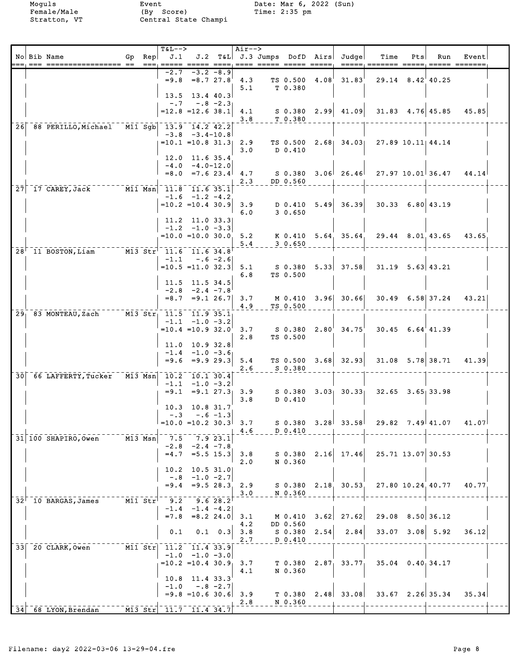Moguls Event Date: Mar 6, 2022 (Sun)<br>Female/Male (By Score) Time: 2:35 pm<br>Stratton, VT Central State Champi Female/Male (By Score) Time: 2:35 pm Stratton, VT Central State Champi

|  | No Bib Name<br>.== ==== ================== == | $Gp$ Rep                                                                     | <b>T&amp;L--&gt;</b><br>J.1     |                                                              |                 | Air-->                  | ==== ===== ===== ===== |                               |      | J.2 T&L J.3 Jumps DofD Airs Judge | Time               | Pts  | Run                    | Event |  |
|--|-----------------------------------------------|------------------------------------------------------------------------------|---------------------------------|--------------------------------------------------------------|-----------------|-------------------------|------------------------|-------------------------------|------|-----------------------------------|--------------------|------|------------------------|-------|--|
|  |                                               |                                                                              | $-2.7$                          | $-3.2 - 8.9$<br>$=9.8$ $=8.7$ 27.8<br>$13.5$ $13.4$ $40.3$   |                 | 4.3<br>5.1              |                        | TS 0.500 4.08<br>T 0.380      |      | 31.83'                            |                    |      | $29.14$ $8.42$ $40.25$ |       |  |
|  |                                               |                                                                              | $=12.8$ =12.6 38.1              | $-.7 - .8 - 2.3$                                             |                 | 4.1<br>3.8              |                        | T 0.380                       |      | $S$ 0.380 2.99 41.09              |                    |      | $31.83$ 4.76 45.85     | 45.85 |  |
|  | 26 88 PERILLO, Michael M11 Sgb 13.9 14.2 42.2 |                                                                              | $=10.1$ $=10.8$ 31.3            | $-3.8$ $-3.4-10.8$                                           |                 | 2.9<br>3.0              |                        | TS 0.500<br>$D_0.410$         |      | $2.68$ 34.03                      |                    |      | 27.89 10.11 44.14      |       |  |
|  |                                               |                                                                              |                                 | 12.0 11.6 35.4<br>$-4.0 - 4.0 - 12.0$<br>$=8.0$ = 7.6 23.4   |                 | 4.7<br>2.3              |                        | S 0.380<br>DD 0.560           |      | $3.06$ $26.46$                    |                    |      | $27.97$ 10.01 36.47    | 44.14 |  |
|  | 27 17 CAREY, Jack M11 Msn 11.8 11.6 35.1      |                                                                              | $=10.2$ = 10.4 30.9             | $-1.6$ $-1.2$ $-4.2$                                         |                 | 3.9<br>6.0              |                        | D 0.410<br>30.650             |      | $5.49$ 36.39                      | $30.33$ 6.80 43.19 |      |                        |       |  |
|  |                                               |                                                                              | $=10.0$ $=10.0$ 30.0, 5.2       | 11.2 11.0 33.3<br>$-1.2$ $-1.0$ $-3.3$                       |                 | 5.4                     |                        | 30.650                        |      | K 0.410 5.64 35.64                |                    |      | 29.44 8.01.43.65       | 43.65 |  |
|  | 28 <sup>1</sup> 11 BOSTON, Liam               | $\overline{M13}$ Str <sup>1</sup> 11.6 11.6 34.8                             | $=10.5 = 11.0$ 32.3             | $-1.1 - .6 - 2.6$                                            |                 | 5.1<br>6.8              |                        | TS 0.500                      |      |                                   |                    |      |                        |       |  |
|  |                                               |                                                                              |                                 | 11.5 11.5 34.5<br>$-2.8$ $-2.4$ $-7.8$<br>$=8.7$ $=9.1$ 26.7 |                 | 3.7<br>4.9              |                        | TS 0.500                      |      | M 0.410 3.96 30.66                |                    |      | $30.49$ 6.58 37.24     | 43.21 |  |
|  | 29 83 MONTEAU, Zach                           | $\overline{M13}$ $\overline{Str_1}$ $\overline{11.5}$ $\overline{11.9}$ 35.1 | $=10.4$ = 10.9 32.0             | $-1.1$ $-1.0$ $-3.2$                                         |                 | 3.7<br>2.8              |                        | S 0.380<br>TS 0.500           |      | $2.80'$ $34.75'$                  |                    |      | $30.45$ 6.64 41.39     |       |  |
|  |                                               |                                                                              | $= 9.6$                         | $11.0$ 10.9 32.8<br>$-1.4$ $-1.0$ $-3.6$<br>$= 9.929.3$      |                 | 5.4<br>2.6              |                        | S 0.380                       |      | TS $0.500$ 3.68 32.93             |                    |      | $31.08$ 5.78 38.71     | 41.39 |  |
|  | 30 66 LAFFERTY, Tucker M13 Msn 10.2 10.1 30.4 |                                                                              | $= 9.1$                         | $-1.1$ $-1.0$ $-3.2$<br>10.3 10.8 31.7                       |                 | $= 9.1$ 27.3 3.9<br>3.8 |                        | S 0.380<br>D 0.410            |      | $3.03$ $30.33$                    |                    |      | $32.65$ $3.65$ 33.98   |       |  |
|  |                                               |                                                                              | $- 0.3$<br>$=10.0$ $=10.2$ 30.3 |                                                              | $-.6 - 1.3$     | 3.7<br>4.6              |                        | $S$ 0.380<br>D 0.410          |      | $3.28$ $33.58$                    |                    |      | 29.82 7.49 41.07       | 41.07 |  |
|  | 31 100 SHAPIRO, Owen                          | M13 Msn                                                                      | 7.5<br>-2.8<br>$=4.7$           | $-2.4 - 7.8$<br>$= 5.5 15.3$                                 | 7.923.1         | 3.8<br>2.0              |                        | $S$ 0.380<br>N 0.360          |      | $2.16$ 17.46                      |                    |      | $25.71$ 13.07 30.53    |       |  |
|  |                                               |                                                                              | 10.2<br>$-.8$<br>$= 9.4$        | $10.5$ $31.0$<br>$-1.0 -2.7$<br>$= 9.528.3$                  |                 | 2.9<br>3.0              |                        | S 0.380<br>N 0.360            |      | $2.18$ 30.53                      |                    |      | 27.80 10.24 40.77      | 40.77 |  |
|  | $32^{\dagger}$ 10 BARGAS, James               | $M11$ Str                                                                    | 9.2<br>$-1.4$<br>$= 7.8$        | $-1.4 -4.2$<br>$= 8.2$ 24.0                                  | 9.628.2         | 3.1<br>4.2              |                        | M 0.410<br>DD 0.560           | 3.62 | 27.62                             | 29.08              |      | 8.50   36.12           |       |  |
|  | 33 20 CLARK, Owen                             | $M11$ Str                                                                    | 0.1<br>11.2<br>$-1.0$           | 11.4 33.9<br>$-1.0 -3.0$                                     | $0.1 \quad 0.3$ | 3.8<br>2.7              |                        | $S$ 0.380<br>D 0.410          | 2.54 | 2.84                              | 33.07              | 3.08 | 5.92                   | 36.12 |  |
|  |                                               |                                                                              | $=10.2$ = 10.4 30.9<br>10.8     | $11.4$ 33.3                                                  |                 | 3.7<br>4.1              |                        | T 0.380<br>N 0.360            |      | $2.87$ 33.77                      |                    |      | $35.04$ 0.40, 34.17    |       |  |
|  | 34 68 LYON, Brendan                           | $M13$ Str                                                                    | $-1.0$<br>$11.7$ 11.4 34.7      | $= 9.8 = 10.6$ 30.6                                          | $-.8 - 2.7$     | 3.9<br>2.8              |                        | T <sub>0.380</sub><br>N 0.360 |      | $2.48$ 33.08                      |                    |      | $33.67$ $2.26$ 35.34   | 35.34 |  |
|  |                                               |                                                                              |                                 |                                                              |                 |                         |                        |                               |      |                                   |                    |      |                        |       |  |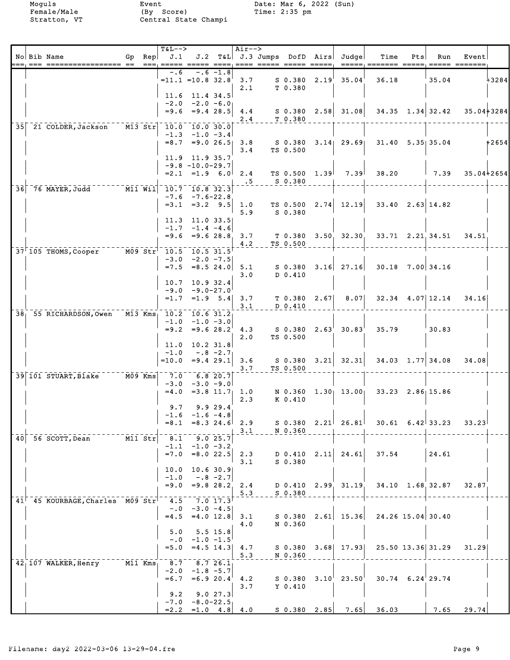| No Bib Name                                              | Gp Rep                  | <b>T&amp;L--&gt;</b><br>J.1                                   |                                                |              | Air-->                                             |                      | J.2 T&L J.3 Jumps DofD Airs Judge                   | Time                                                                 | Pts | Run                      | Event<br>$=$ ==== $=$ ======= |         |
|----------------------------------------------------------|-------------------------|---------------------------------------------------------------|------------------------------------------------|--------------|----------------------------------------------------|----------------------|-----------------------------------------------------|----------------------------------------------------------------------|-----|--------------------------|-------------------------------|---------|
|                                                          |                         | -.6                                                           |                                                | -.6 -1.8     | 2.1                                                | T 0.380              | $=$ 11.1 $=$ 10.8 32.8 3.7 S 0.380 2.19 35.04       | 36.18                                                                |     | 35.04                    |                               | $+3284$ |
|                                                          |                         | $11.6$ 11.4 34.5<br>$-2.0 -2.0 -6.0$                          |                                                |              | $= 9.6 = 9.4$ 28.5 4.4<br>2.4                      | T 0.380              |                                                     | $S$ 0.380 2.58 31.08 34.35 1.34 32.42                                |     |                          | 35.04+3284                    |         |
| 35 21 COLDER, Jackson M13 Str                            |                         | 10.0 10.0 30.0<br>$= 8.7$ $= 9.0$ 26.5 3.8                    | $-1.3 -1.0 -3.4$                               |              | 3.4                                                | TS 0.500             | S 0.380 3.14 29.69                                  |                                                                      |     | $31.40$ $5.35$ 35.04     |                               | +2654   |
|                                                          |                         | 11.9 11.9 35.7<br>$-9.8 - 10.0 - 29.7$                        |                                                |              | $= 2.1$ $= 1.9$ 6.0 2.4                            |                      | TS 0.500 1.39 7.39                                  | 38.20                                                                |     | $1 \quad 7.39$           | 35.04+2654                    |         |
| $36$ 76 MAYER, Judd $   \overline{M11}$ $\overline{W11}$ |                         | $10.7$ 10.8 32.3                                              | $-7.6 - 7.6 - 22.8$<br>$=3.1$ $=3.2$ $9.5$ 1.0 |              | $\overline{.5}$                                    | S 0.380              |                                                     | TS $0.500 \quad 2.74 \quad 12.19 \quad 33.40 \quad 2.63 \quad 14.82$ |     |                          |                               |         |
|                                                          |                         | $11.3$ 11.0 33.5                                              | $-1.7 -1.4 -4.6$                               |              | 5.9                                                | S 0.380              |                                                     |                                                                      |     |                          |                               |         |
| 37 105 THOMS, Cooper M09 Str <sup>1</sup> 10.5 10.5 31.5 |                         |                                                               | $-3.0$ $-2.0$ $-7.5$                           |              | $=9.6$ $=9.6$ 28.8, 3.7<br>4.2                     | TS 0.500             | $T$ 0.380 3.50 32.30                                | 33.71 2.21.34.51 34.51                                               |     |                          |                               |         |
|                                                          |                         | 10.7 10.9 32.4                                                |                                                |              | $=7.5$ $=8.5$ 24.0 5.1<br>3.0                      | $D$ 0.410            |                                                     | $S$ 0.380 3.16 27.16 30.18 7.00 34.16                                |     |                          |                               |         |
| 38 55 RICHARDSON, Owen M13 Kms 10.2 10.6 31.2            |                         |                                                               | $-9.0 - 9.0 - 27.0$                            |              | $=1.7$ $=1.9$ $5.4$ 3.7<br>3.1                     | D 0.410              | $T$ 0.380 2.67 8.07                                 |                                                                      |     |                          | $32.34$ 4.07 12.14 34.16      |         |
|                                                          |                         |                                                               | $-1.0 -1.0 -3.0$                               |              | 2.0                                                | TS 0.500             | $=9.2$ $=9.6$ $28.2^{\circ}$ 4.3 S 0.380 2.63 30.83 | 35.79                                                                |     | '30.83                   |                               |         |
|                                                          |                         | $11.0$ 10.2 31.8<br>$-1.0$<br>$=10.0$ $=9.4$ 29.1 3.6         | $-.8 - 2.7$                                    |              | 3.7                                                | TS 0.500             |                                                     | $S$ 0.380 3.21 32.31 34.03 1.77 34.08                                |     |                          | 34.08                         |         |
| 39 101 STUART, Blake M09 Kms                             |                         | $-7.0 - 6.820.7$<br>$-3.0 -3.0 -9.0$<br>$=4.0$ = 3.8 11.7 1.0 |                                                |              | 2.3                                                | K 0.410              | N 0.360 1.30 13.00                                  | $33.23$ $2.86$ 15.86                                                 |     |                          |                               |         |
|                                                          |                         | 9.7<br>$=8.1$ $=8.3$ 24.6 2.9                                 | $-1.6$ $-1.6$ $-4.8$                           | 9.929.4      | 3.1                                                | N 0.360              | $S$ 0.380 2.21 26.81                                |                                                                      |     | $30.61 \quad 6.42$ 33.23 | 33.23                         |         |
| 40 56 SCOTT, Dean                                        | $---\overline{M11}$ Str | 8.1                                                           | $-1.1$ $-1.0$ $-3.2$                           | 9.025.7      | $=7.0$ $=8.0$ 22.5 2.3                             | D 0.410              | $2.11 \mid 24.61 \mid$                              | 37.54                                                                |     | $\vert$ 24.61            |                               |         |
|                                                          |                         | 10.0<br>$-1.0$<br>$= 9.0 = 9.828.2 2.4$                       | $-.8 - 2.7$                                    | $10.6$ 30.9  | 3.1                                                | $S$ 0.380            |                                                     | D 0.410 2.99 31.19 34.10 1.68 32.87 32.87                            |     |                          |                               |         |
| $41^{\dagger}$ 45 KOURBAGE, Charles M09 Str <sup>1</sup> |                         | 4.5<br>$-0.0$                                                 | 7.0 17.3<br>$=4.5$ $=4.0$ 12.8 3.1             | $-3.0 - 4.5$ | 5.3                                                | $S$ 0.380<br>S 0.380 |                                                     | $2.61$ 15.36 24.26 15.04 30.40                                       |     |                          |                               |         |
|                                                          |                         | 5.0<br>$=5.0$ $=4.5$ 14.3 4.7                                 | $-.0$ $-1.0$ $-1.5$                            | $5.5$ 15.8   | 4.0                                                | N 0.360              | $S$ 0.380 3.68 17.93                                |                                                                      |     | 25.50 13.36 31.29        | 31.29                         |         |
| 42, 107 WALKER, Henry M11 Kms,                           |                         | 8.7 8.7 26.1                                                  | $-2.0 -1.8 -5.7$                               |              | 5.3                                                | N 0.360              |                                                     |                                                                      |     |                          |                               |         |
|                                                          |                         | $= 6.7$<br>9.2                                                |                                                | 9.027.3      | $=6.9 20.4$ <sup><math>\pm</math></sup> 4.2<br>3.7 | S 0.380<br>$Y$ 0.410 | $3.10^{+}$ 23.50                                    | $30.74$ 6.24 29.74                                                   |     |                          |                               |         |
|                                                          |                         | $-7.0 - 8.0 - 22.5$                                           |                                                |              | $=2.2$ $=1.0$ $4.8$ $4.0$                          | $S$ 0.380 2.85       |                                                     | $7.65$ 36.03                                                         |     |                          | 7.65 29.74                    |         |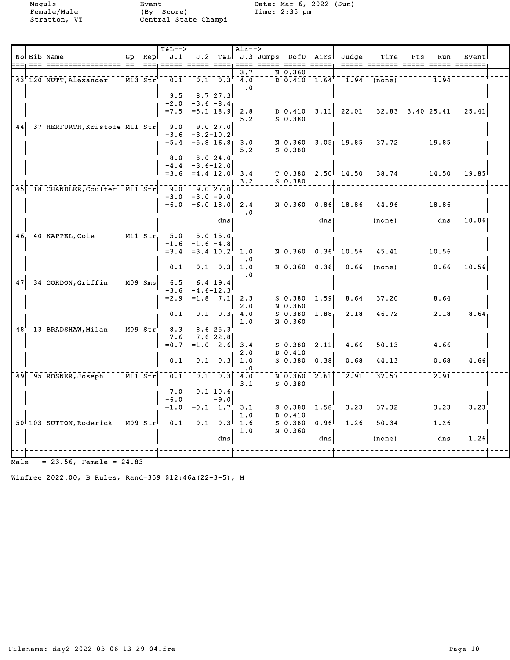Moguls Event Date: Mar 6, 2022 (Sun)

|      |                                 |         |           | <b>T&amp;L--&gt;</b> |                        |                  | $Air--$                       |                             |                   |                                                            |        |     |                      |       |  |
|------|---------------------------------|---------|-----------|----------------------|------------------------|------------------|-------------------------------|-----------------------------|-------------------|------------------------------------------------------------|--------|-----|----------------------|-------|--|
|      | No Bib Name                     |         | Gp Rep    | J.1                  |                        |                  |                               | J.2 T&L J.3 Jumps DofD Airs |                   | Judgel                                                     | Time   | Pts | Run                  | Event |  |
|      |                                 | $=$ $=$ | $== =$    |                      |                        |                  |                               |                             |                   |                                                            |        |     |                      |       |  |
|      |                                 |         |           |                      |                        |                  | 3.7                           | N 0.360                     |                   | $\overline{D}$ 0.410 1.64 <sup>+--</sup> 1.94 <sup>+</sup> |        |     |                      |       |  |
|      | 43 120 NUTT, Alexander          |         | M13 Str   | 0.1                  |                        | $0.1 \ 0.3$      | $\overline{4.0}$<br>$\cdot$ 0 |                             |                   |                                                            | (none) |     | 1.94                 |       |  |
|      |                                 |         |           | 9.5                  |                        | 8.727.3          |                               |                             |                   |                                                            |        |     |                      |       |  |
|      |                                 |         |           | $-2.0$               | $-3.6 - 8.4$           |                  |                               |                             |                   |                                                            |        |     |                      |       |  |
|      |                                 |         |           | $= 7.5$              | $= 5.1$ 18.9           |                  | 2.8                           |                             |                   | $D$ 0.410 3.11 22.01                                       |        |     | $32.83$ $3.40$ 25.41 | 25.41 |  |
|      |                                 |         |           |                      |                        |                  | 5.2                           | $S$ 0.380                   |                   |                                                            |        |     |                      |       |  |
| 44   | 37 HERFURTH, Kristofe M11 Str   |         |           | $-9.0$               | $-9.027.0$             |                  |                               |                             |                   |                                                            |        |     |                      |       |  |
|      |                                 |         |           | $-3.6$               | $-3.2 - 10.2$          |                  |                               |                             |                   |                                                            |        |     |                      |       |  |
|      |                                 |         |           | $= 5.4$              | $= 5.8$ 16.8           |                  | 3.0                           | N 0.360                     |                   | $3.05$ 19.85                                               | 37.72  |     | 19.85                |       |  |
|      |                                 |         |           |                      |                        |                  | 5.2                           | $S_0.380$                   |                   |                                                            |        |     |                      |       |  |
|      |                                 |         |           | 8.0<br>$-4.4$        | $-3.6 - 12.0$          | 8.024.0          |                               |                             |                   |                                                            |        |     |                      |       |  |
|      |                                 |         |           | $= 3.6$              | $=4.4$ 12.0            |                  | 3.4                           | T 0.380                     |                   | $2.50$ 14.50                                               | 38.74  |     | $\perp$ 14.50        | 19.85 |  |
|      |                                 |         |           |                      |                        |                  | 3.2                           | S 0.380                     |                   |                                                            |        |     |                      |       |  |
|      | 45 18 CHANDLER, Coulter M11 Str |         |           | 9.0                  |                        | 9.027.0          |                               |                             |                   |                                                            |        |     |                      |       |  |
|      |                                 |         |           | $-3.0$               | $-3.0 - 9.0$           |                  |                               |                             |                   |                                                            |        |     |                      |       |  |
|      |                                 |         |           | $= 6.0$              | $=6.0 18.0$            |                  | 2.4                           | N 0.360                     |                   | $0.86$ 18.86                                               | 44.96  |     | 18.86                |       |  |
|      |                                 |         |           |                      |                        |                  | $\cdot$ 0                     |                             |                   |                                                            |        |     |                      |       |  |
|      |                                 |         |           |                      |                        | dns              |                               |                             | dns               |                                                            | (none) |     | dns                  | 18.86 |  |
|      |                                 |         |           |                      |                        |                  |                               |                             |                   |                                                            |        |     |                      |       |  |
|      | 46, 40 KAPPEL, Cole M11 Str,    |         |           | 5.0<br>$-1.6$        | 5.015.0<br>$-1.6 -4.8$ |                  |                               |                             |                   |                                                            |        |     |                      |       |  |
|      |                                 |         |           |                      | $=3.4$ $=3.4$ $10.2$   |                  | 1.0                           | N 0.360                     | 0.36              | $10.56^{\dagger}$                                          | 45.41  |     | 10.56                |       |  |
|      |                                 |         |           |                      |                        |                  | $\cdot$ 0                     |                             |                   |                                                            |        |     |                      |       |  |
|      |                                 |         |           | 0.1                  |                        | $0.1 \quad 0.3$  | 1.0                           | N 0.360                     | 0.36              | 0.66                                                       | (none) |     | 0.66                 | 10.56 |  |
|      |                                 |         |           |                      |                        |                  | $\cdot$ 0                     |                             |                   |                                                            |        |     |                      |       |  |
| 47   | 34 GORDON, Griffin              |         |           | 6.5                  |                        | $6.4$ 19.4       |                               |                             |                   |                                                            |        |     |                      |       |  |
|      |                                 |         |           | $-3.6$               | $-4.6 - 12.3$          |                  |                               |                             |                   |                                                            |        |     |                      |       |  |
|      |                                 |         |           | $= 2.9$              | $=1.8$ 7.1             |                  | 2.3                           | $S$ 0.380                   | 1.59              | 8.64                                                       | 37.20  |     | 8.64                 |       |  |
|      |                                 |         |           | 0.1                  |                        |                  | 2.0                           | N 0.360                     |                   |                                                            | 46.72  |     | 2.18                 | 8.64  |  |
|      |                                 |         |           |                      |                        |                  | $0.1 \quad 0.3$ 4.0<br>1.0    | S 0.380<br>N 0.360          | 1.88 <sub>1</sub> | 2.18 <sub>1</sub>                                          |        |     |                      |       |  |
|      | 48 13 BRADSHAW, Milan           |         | $M09$ Str | 8.3                  |                        | 8.625.3          |                               |                             |                   |                                                            |        |     |                      |       |  |
|      |                                 |         |           | $-7.6$               | $-7.6 - 22.8$          |                  |                               |                             |                   |                                                            |        |     |                      |       |  |
|      |                                 |         |           | $= 0.7$              | $=1.0$ 2.6             |                  | 3.4                           | $S$ 0.380                   | 2.11              | 4.66                                                       | 50.13  |     | 4.66                 |       |  |
|      |                                 |         |           |                      |                        |                  | 2.0                           | D 0.410                     |                   |                                                            |        |     |                      |       |  |
|      |                                 |         |           | 0.1                  | 0.1                    | 0.3              | 1.0                           | $S_0.380$                   | 0.38              | 0.68                                                       | 44.13  |     | 0.68                 | 4.66  |  |
|      |                                 |         |           |                      |                        |                  | $\cdot$ 0                     |                             |                   |                                                            |        |     |                      |       |  |
|      | 49 95 ROSNER, Joseph            | M11 Str |           | 0.1                  |                        | $0.1 \quad 0.3$  | 4.0                           | N 0.360                     | 2.61              | $\overline{2.91}$                                          | 37.57  |     | 2.91                 |       |  |
|      |                                 |         |           | 7.0                  |                        | 0.1 10.6         | 3.1                           | $S$ 0.380                   |                   |                                                            |        |     |                      |       |  |
|      |                                 |         |           | $-6.0$               |                        | $-9.0$           |                               |                             |                   |                                                            |        |     |                      |       |  |
|      |                                 |         |           | $=1.0$               |                        | $=0.1 \quad 1.7$ | 3.1                           | S 0.380                     | 1.58              | 3.23                                                       | 37.32  |     | 3.23                 | 3.23  |  |
|      |                                 |         |           |                      |                        |                  | 1.0                           | D 0.410                     |                   |                                                            |        |     |                      |       |  |
|      | 50 103 SUTTON, Roderick M09 Str |         |           | $\overline{0.1}$     |                        |                  | $0.1 \quad 0.3$ 1.6           | $S$ 0.380                   | 0.96              | 1.26                                                       | 50.34  |     | 1.26                 |       |  |
|      |                                 |         |           |                      |                        |                  | 1.0                           | N 0.360                     |                   |                                                            |        |     |                      |       |  |
|      |                                 |         |           |                      |                        | dns              |                               |                             | dns               |                                                            | (none) |     | dns                  | 1.26  |  |
|      |                                 |         |           |                      |                        |                  |                               |                             |                   |                                                            |        |     |                      |       |  |
|      |                                 |         |           |                      |                        |                  |                               |                             |                   |                                                            |        |     |                      |       |  |
| Male | $= 23.56$ , Female = 24.83      |         |           |                      |                        |                  |                               |                             |                   |                                                            |        |     |                      |       |  |

Winfree 2022.00, B Rules, Rand=359 @12:46a(22-3-5), M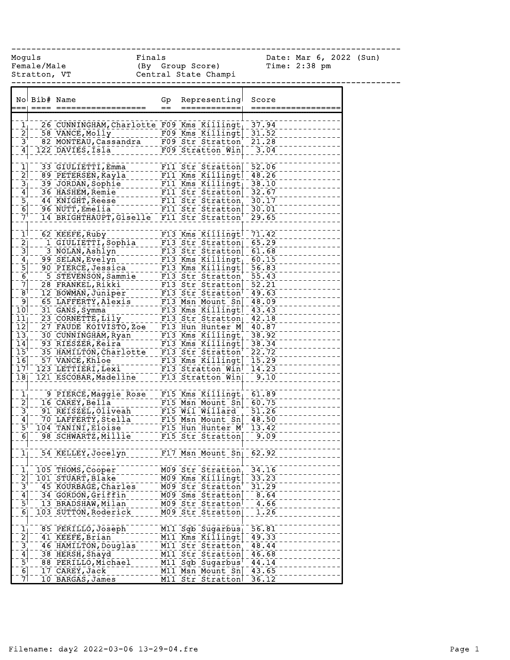------------------------------------------------------------------------------

Female/Male (By Group Score) Time: 2:38 pm Stratton, VT Central State Champi

Moguls Finals Date: Mar 6, 2022 (Sun)

|                                                  |                                                                    | No Bib# Name                                                                                                                                                                                                                                           | Gp      | Representing                            | Score        |
|--------------------------------------------------|--------------------------------------------------------------------|--------------------------------------------------------------------------------------------------------------------------------------------------------------------------------------------------------------------------------------------------------|---------|-----------------------------------------|--------------|
|                                                  |                                                                    |                                                                                                                                                                                                                                                        | $=$ $-$ | =============                           | ============ |
|                                                  |                                                                    |                                                                                                                                                                                                                                                        |         |                                         |              |
| $\begin{bmatrix} 1 \\ 2 \\ 3 \\ 4 \end{bmatrix}$ |                                                                    |                                                                                                                                                                                                                                                        |         |                                         |              |
|                                                  |                                                                    |                                                                                                                                                                                                                                                        |         |                                         |              |
|                                                  |                                                                    |                                                                                                                                                                                                                                                        |         |                                         |              |
|                                                  |                                                                    | - 26 CUNNINGHAM, Charlotte F09 Kms Killingt 37.94<br>- 58 VANCE, Molly<br>- 82 MONTEAU, Cassandra - - F09 Str Stratton 21.28<br>122 DAVIES, Isla - - - - F09 Stratton Win - 3.04                                                                       |         |                                         |              |
|                                                  |                                                                    |                                                                                                                                                                                                                                                        |         |                                         |              |
| $\begin{bmatrix} 1 \\ 2 \end{bmatrix}$           |                                                                    |                                                                                                                                                                                                                                                        |         |                                         |              |
|                                                  |                                                                    |                                                                                                                                                                                                                                                        |         |                                         |              |
|                                                  |                                                                    |                                                                                                                                                                                                                                                        |         |                                         |              |
|                                                  |                                                                    |                                                                                                                                                                                                                                                        |         |                                         |              |
|                                                  |                                                                    |                                                                                                                                                                                                                                                        |         |                                         |              |
|                                                  | $\frac{2}{3}$<br>$\frac{4}{5}$<br>$\frac{-5}{7}$<br>$\frac{-1}{7}$ |                                                                                                                                                                                                                                                        |         |                                         |              |
|                                                  |                                                                    | 33 GIULIETTI, Emma<br>89 PETERSEN, Kayla<br>39 JORDAN, Sophie<br>36 HASHEM, Remie<br>36 HASHEM, Remie<br>44 KNIGHT, Reese<br>96 NUTT, Emelia<br>14 BRIGHTHAUPT, Giselle F11 Str Stratton 30.01<br>14 BRIGHTHAUPT, Giselle F11 Str Stratton 29.         |         |                                         |              |
|                                                  |                                                                    | 14 DANUBRE Ruby<br>16 C KEEFE, Ruby<br>16 CULIETI, Sophia<br>16 CULIETI, Sophia<br>17 GULIETI, Sophia<br>17 Str Stratton 65.29<br>38 NGLAN, Evelyn<br>18 Str Stratton 66.15<br>16 O.15<br>18 SELAN, Evelyn<br>18 Str Stratton 66.15<br>16 O.15<br>17 S |         |                                         |              |
|                                                  |                                                                    |                                                                                                                                                                                                                                                        |         |                                         |              |
|                                                  |                                                                    |                                                                                                                                                                                                                                                        |         |                                         |              |
|                                                  |                                                                    |                                                                                                                                                                                                                                                        |         |                                         |              |
|                                                  |                                                                    |                                                                                                                                                                                                                                                        |         |                                         |              |
|                                                  |                                                                    |                                                                                                                                                                                                                                                        |         |                                         |              |
|                                                  |                                                                    |                                                                                                                                                                                                                                                        |         |                                         |              |
|                                                  |                                                                    |                                                                                                                                                                                                                                                        |         |                                         |              |
|                                                  |                                                                    |                                                                                                                                                                                                                                                        |         |                                         |              |
| 9]                                               |                                                                    |                                                                                                                                                                                                                                                        |         |                                         |              |
| $\overline{10}$                                  |                                                                    |                                                                                                                                                                                                                                                        |         |                                         |              |
| $\bar{1}\bar{1}^-_1$                             |                                                                    |                                                                                                                                                                                                                                                        |         |                                         |              |
| $\overline{1}\overline{2}$                       |                                                                    |                                                                                                                                                                                                                                                        |         |                                         |              |
| $\begin{bmatrix} 13 \\ -14 \end{bmatrix}$        |                                                                    |                                                                                                                                                                                                                                                        |         |                                         |              |
| $15^{1}$                                         |                                                                    |                                                                                                                                                                                                                                                        |         |                                         |              |
| $\overline{16}$                                  |                                                                    |                                                                                                                                                                                                                                                        |         |                                         |              |
| 17                                               |                                                                    |                                                                                                                                                                                                                                                        |         |                                         |              |
| $\overline{18}$                                  |                                                                    |                                                                                                                                                                                                                                                        |         |                                         |              |
|                                                  |                                                                    |                                                                                                                                                                                                                                                        |         |                                         |              |
|                                                  |                                                                    | 9 PIERCE Maggie Rose - F15 Kms Killingt 61.89                                                                                                                                                                                                          |         |                                         |              |
| $\begin{bmatrix} 1 \\ -2 \\ 2 \end{bmatrix}$     |                                                                    |                                                                                                                                                                                                                                                        |         |                                         |              |
|                                                  |                                                                    |                                                                                                                                                                                                                                                        |         |                                         |              |
| $\frac{1}{3}$<br>$\frac{4}{5}$                   |                                                                    |                                                                                                                                                                                                                                                        |         |                                         |              |
|                                                  |                                                                    |                                                                                                                                                                                                                                                        |         |                                         |              |
| $\overline{6}$ ]                                 |                                                                    | 16 CAREY, Bella F15 Msn Mount Sn - 60.75<br>91 REISZEL, Oliveah F15 Mil Willard 51.26<br>70 LAFFERTY, Stella F15 Msn Mount Sn - 48.50<br>104 TANINI, Eloise ----- F15 Hun Hunter M - 13.42<br>98 SCHWARTZ, Millie F15 Str Stratton 9.0                 |         |                                         |              |
|                                                  |                                                                    |                                                                                                                                                                                                                                                        |         |                                         |              |
| $\bar{\mathbf{1}}^{\dagger\,\dagger}$            |                                                                    | 54 KELLEY, Jocelyn                                                                                                                                                                                                                                     |         | $FT7$ Msn Mount $Sn$ <sup>1</sup> 62.92 |              |
|                                                  |                                                                    |                                                                                                                                                                                                                                                        |         |                                         |              |
|                                                  |                                                                    | 105 THOMS, Cooper                                                                                                                                                                                                                                      |         | M09 Str Stratton                        | 34.16        |
|                                                  |                                                                    | 101 STUART, Blake                                                                                                                                                                                                                                      |         | M09 Kms Killingt                        | 33.23        |
| $\frac{1}{2}$ $\frac{2}{3}$                      |                                                                    | 45 KOURBAGE, Charles                                                                                                                                                                                                                                   |         | M09 Str Stratton                        | 31.29        |
| $\overline{4}$                                   |                                                                    | 34 GORDON, Griffin                                                                                                                                                                                                                                     |         | M09 Sms Stratton                        | 8.64         |
| $\overline{5}$                                   |                                                                    | 13 BRADSHAW, Milan                                                                                                                                                                                                                                     |         | M09 Str Stratton                        | 4.66         |
| $\overline{6}$                                   |                                                                    | 103 SUTTON, Roderick                                                                                                                                                                                                                                   |         | M09 Str Stratton                        | 1.26         |
|                                                  |                                                                    |                                                                                                                                                                                                                                                        |         |                                         |              |
|                                                  |                                                                    | 85 PERILLO, Joseph                                                                                                                                                                                                                                     |         | $\overline{M11}$ Sgb Sugarbus           | 56.81        |
| $\frac{1}{2}$                                    |                                                                    | 41 KEEFE, Brian                                                                                                                                                                                                                                        |         | M11 Kms Killingt                        | 49.33        |
| $\overline{3}$                                   |                                                                    | 46 HAMILTON, Douglas                                                                                                                                                                                                                                   |         | M11 Str Stratton                        | 48.44        |
| $\overline{4}$                                   |                                                                    | 38 HERSH, Shayd                                                                                                                                                                                                                                        |         | M11 Str Stratton                        | 46.68        |
| $\bar{5}$                                        |                                                                    | 88 PERILLO, Michael                                                                                                                                                                                                                                    |         | M11 Sgb Sugarbus                        | 44.14        |
| $\overline{6}$                                   |                                                                    | 17 CAREY, Jack                                                                                                                                                                                                                                         |         | M11 Msn Mount Sn                        | 43.65        |
| 7                                                |                                                                    | 10 BARGAS, James                                                                                                                                                                                                                                       |         | M11 Str Stratton                        | 36.12        |
|                                                  |                                                                    |                                                                                                                                                                                                                                                        |         |                                         |              |